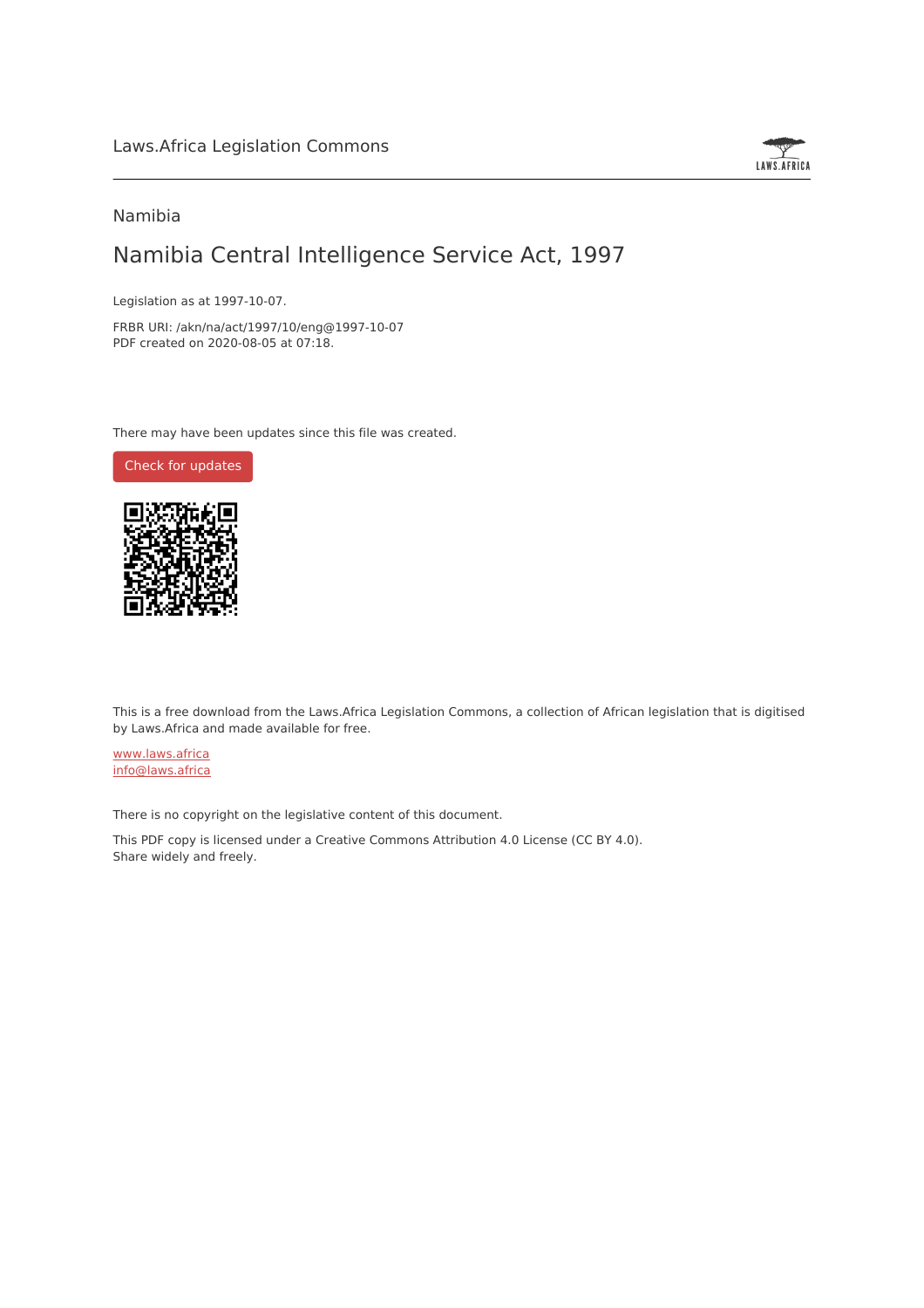

## Namibia

# Namibia Central Intelligence Service Act, 1997

Legislation as at 1997-10-07.

FRBR URI: /akn/na/act/1997/10/eng@1997-10-07 PDF created on 2020-08-05 at 07:18.

There may have been updates since this file was created.

Check for [updates](https://commons.laws.africa/akn/na/act/1997/10/eng@1997-10-07?ts=2020-08-05T07:18:35.804042+00:00)



This is a free download from the Laws.Africa Legislation Commons, a collection of African legislation that is digitised by Laws.Africa and made available for free.

[www.laws.africa](https://www.laws.africa) [info@laws.africa](mailto:info@laws.africa)

There is no copyright on the legislative content of this document.

This PDF copy is licensed under a Creative Commons Attribution 4.0 License (CC BY 4.0). Share widely and freely.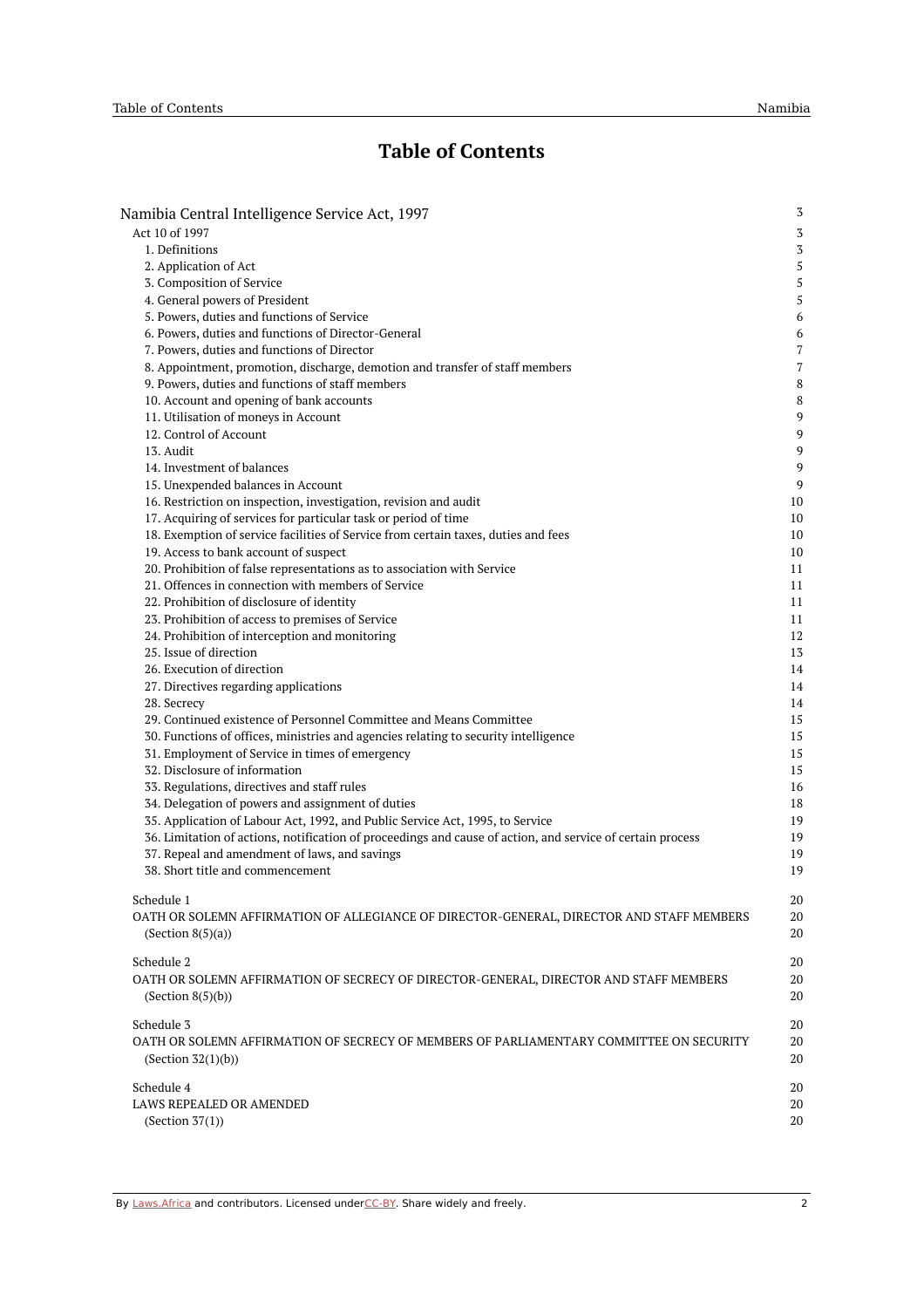# **Table of Contents**

| Namibia Central Intelligence Service Act, 1997                                                             | 3      |
|------------------------------------------------------------------------------------------------------------|--------|
| Act 10 of 1997                                                                                             | 3      |
| 1. Definitions                                                                                             | 3      |
| 2. Application of Act                                                                                      | 5      |
| 3. Composition of Service                                                                                  | 5      |
| 4. General powers of President                                                                             | 5      |
| 5. Powers, duties and functions of Service                                                                 | 6      |
| 6. Powers, duties and functions of Director-General                                                        | 6      |
| 7. Powers, duties and functions of Director                                                                | 7      |
| 8. Appointment, promotion, discharge, demotion and transfer of staff members                               | 7      |
| 9. Powers, duties and functions of staff members                                                           | 8      |
| 10. Account and opening of bank accounts<br>11. Utilisation of moneys in Account                           | 8<br>9 |
| 12. Control of Account                                                                                     | 9      |
| 13. Audit                                                                                                  | 9      |
| 14. Investment of balances                                                                                 | 9      |
| 15. Unexpended balances in Account                                                                         | 9      |
| 16. Restriction on inspection, investigation, revision and audit                                           | 10     |
| 17. Acquiring of services for particular task or period of time                                            | 10     |
| 18. Exemption of service facilities of Service from certain taxes, duties and fees                         | 10     |
| 19. Access to bank account of suspect                                                                      | 10     |
| 20. Prohibition of false representations as to association with Service                                    | 11     |
| 21. Offences in connection with members of Service                                                         | 11     |
| 22. Prohibition of disclosure of identity                                                                  | 11     |
| 23. Prohibition of access to premises of Service                                                           | 11     |
| 24. Prohibition of interception and monitoring                                                             | 12     |
| 25. Issue of direction                                                                                     | 13     |
| 26. Execution of direction                                                                                 | 14     |
| 27. Directives regarding applications                                                                      | 14     |
| 28. Secrecy                                                                                                | 14     |
| 29. Continued existence of Personnel Committee and Means Committee                                         | 15     |
| 30. Functions of offices, ministries and agencies relating to security intelligence                        | 15     |
| 31. Employment of Service in times of emergency                                                            | 15     |
| 32. Disclosure of information                                                                              | 15     |
| 33. Regulations, directives and staff rules                                                                | 16     |
| 34. Delegation of powers and assignment of duties                                                          | 18     |
| 35. Application of Labour Act, 1992, and Public Service Act, 1995, to Service                              | 19     |
| 36. Limitation of actions, notification of proceedings and cause of action, and service of certain process | 19     |
| 37. Repeal and amendment of laws, and savings                                                              | 19     |
| 38. Short title and commencement                                                                           | 19     |
| Schedule 1                                                                                                 | 20     |
| OATH OR SOLEMN AFFIRMATION OF ALLEGIANCE OF DIRECTOR-GENERAL, DIRECTOR AND STAFF MEMBERS                   | 20     |
| (Section $8(5)(a)$ )                                                                                       | 20     |
|                                                                                                            |        |
| Schedule 2                                                                                                 | 20     |
| OATH OR SOLEMN AFFIRMATION OF SECRECY OF DIRECTOR-GENERAL, DIRECTOR AND STAFF MEMBERS                      | 20     |
| (Section 8(5)(b))                                                                                          | 20     |
| Schedule 3                                                                                                 | 20     |
| OATH OR SOLEMN AFFIRMATION OF SECRECY OF MEMBERS OF PARLIAMENTARY COMMITTEE ON SECURITY                    | 20     |
| (Section $32(1)(b)$ )                                                                                      | 20     |
|                                                                                                            |        |
| Schedule 4                                                                                                 | 20     |
| LAWS REPEALED OR AMENDED                                                                                   | 20     |
| (Section $37(1)$ )                                                                                         | 20     |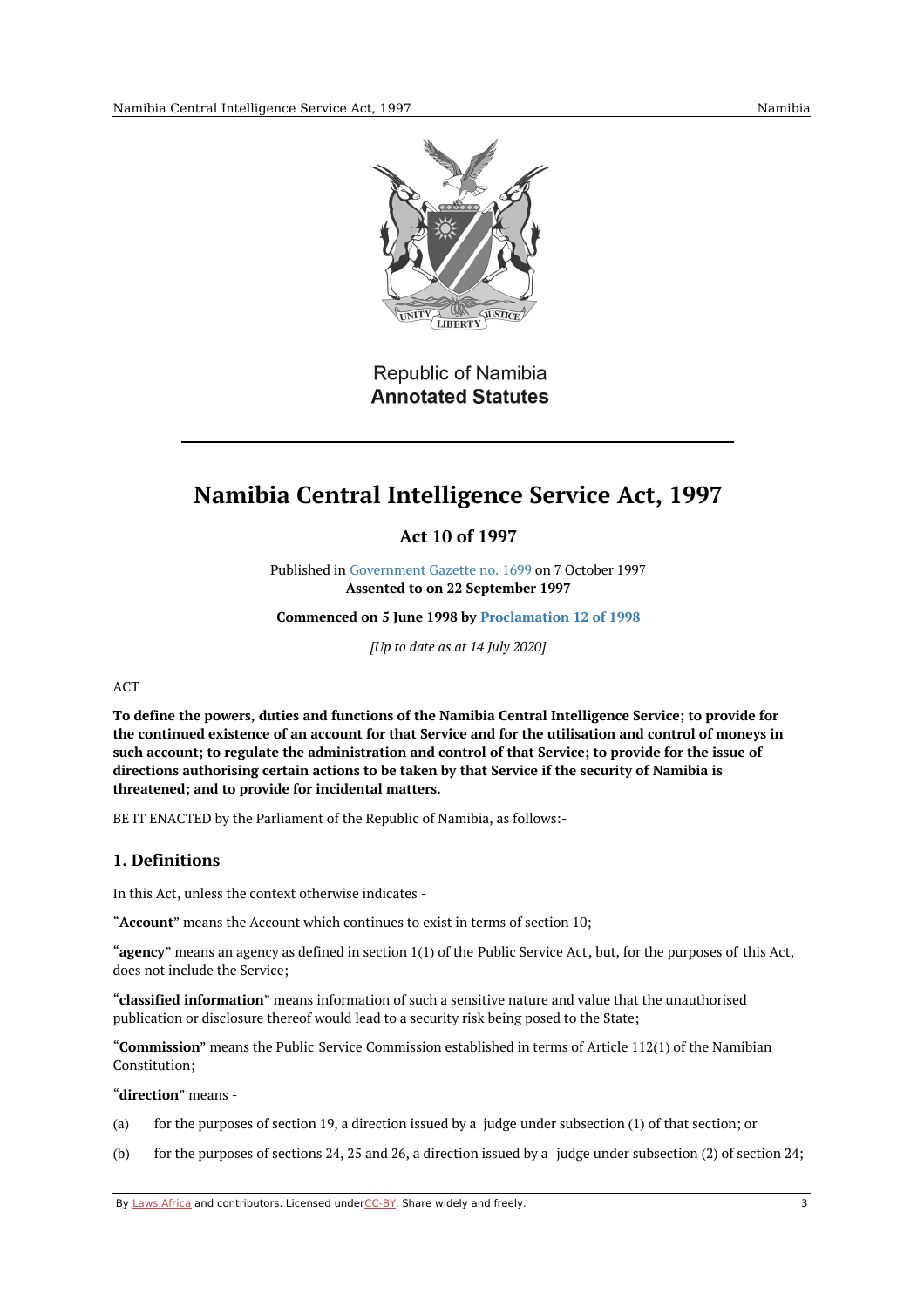

Republic of Namibia **Annotated Statutes** 

# <span id="page-2-1"></span><span id="page-2-0"></span>**Namibia Central Intelligence Service Act, 1997**

**Act 10 of 1997**

Published in [Government](https://edit.laws.africa/works/akn/na/act/1997/10/media/publication/na-act-1997-10-publication-document.pdf) Gazette no. 1699 on 7 October 1997 **Assented to on 22 September 1997**

**Commenced on 5 June 1998 by [Proclamation](https://namiblii.org/akn/na/act/p/1998/12) 12 of 1998**

*[Up to date as at 14 July 2020]*

#### ACT

**To define the powers, duties and functions of the Namibia Central Intelligence Service; to provide for** the continued existence of an account for that Service and for the utilisation and control of moneys in **such account; to regulate the administration and control of that Service; to provide for the issue of directions authorising certain actions to be taken by that Service if the security of Namibia is threatened; and to provide for incidental matters.**

BE IT ENACTED by the Parliament of the Republic of Namibia, as follows:-

## <span id="page-2-2"></span>**1. Definitions**

In this Act, unless the context otherwise indicates -

"**Account**" means the Account which continues to exist in terms of section 10;

"**agency**" means an agency as defined in section 1(1) of the Public Service Act, but, for the purposes of this Act, does not include the Service;

"**classified information**" means information of such a sensitive nature and value that the unauthorised publication or disclosure thereof would lead to a security risk being posed to the State;

"**Commission**" means the Public Service Commission established in terms of Article 112(1) of the Namibian Constitution;

"**direction**" means -

- (a) for the purposes of section 19, a direction issued by a judge under subsection (1) of that section; or
- (b) for the purposes of sections 24, 25 and 26, a direction issued by a judge under subsection (2) of section 24;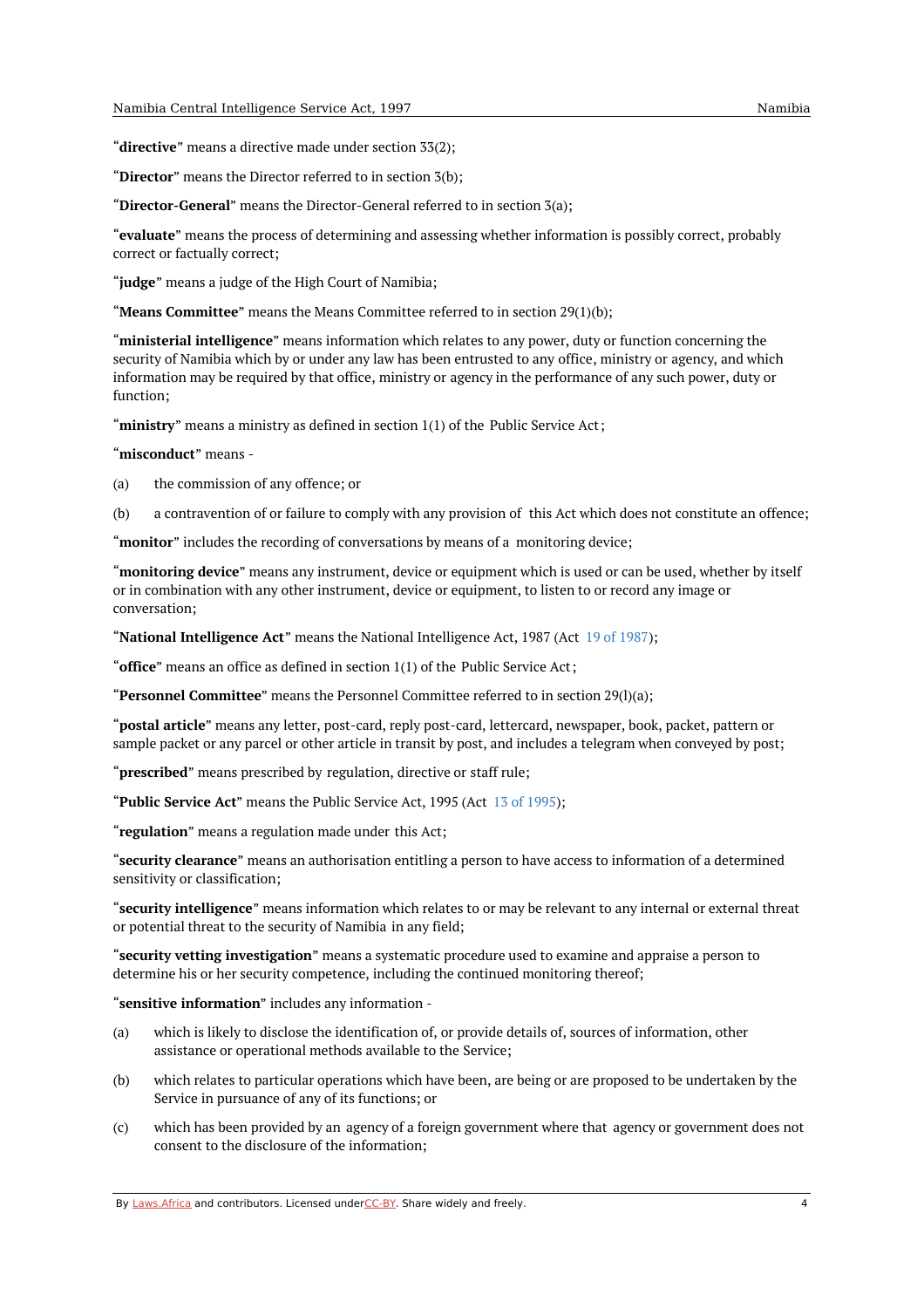"**directive**" means a directive made under section 33(2);

"**Director**" means the Director referred to in section 3(b);

"**Director-General**" means the Director-General referred to in section 3(a);

"**evaluate**" means the process of determining and assessing whether information is possibly correct, probably correct or factually correct;

"**judge**" means a judge of the High Court of Namibia;

"**Means Committee**" means the Means Committee referred to in section 29(1)(b);

"**ministerial intelligence**" means information which relates to any power, duty or function concerning the security of Namibia which by or under any law has been entrusted to any office, ministry or agency, and which information may be required by that office, ministry or agency in the performance of any such power, duty or function;

"ministry" means a ministry as defined in section 1(1) of the Public Service Act;

"**misconduct**" means -

(a) the commission of any offence; or

(b) a contravention of or failure to comply with any provision of this Act which does not constitute an offence;

"**monitor**" includes the recording of conversations by means of a monitoring device;

"**monitoring device**" means any instrument, device or equipment which is used or can be used, whether by itself or in combination with any other instrument, device or equipment, to listen to or record any image or conversation;

"**National Intelligence Act**" means the National Intelligence Act, 1987 (Act 19 of [1987](https://namiblii.org/akn/na/act/1987/19));

"**office**" means an office as defined in section 1(1) of the Public Service Act;

"**Personnel Committee**" means the Personnel Committee referred to in section 29(l)(a);

"**postal article**" means any letter, post-card, reply post-card, lettercard, newspaper, book, packet, pattern or sample packet or any parcel or other article in transit by post, and includes a telegram when conveyed by post;

"**prescribed**" means prescribed by regulation, directive or staff rule;

"**Public Service Act**" means the Public Service Act, 1995 (Act 13 of [1995](https://namiblii.org/akn/na/act/1995/13));

"**regulation**" means a regulation made under this Act;

"**security clearance**" means an authorisation entitling a person to have access to information of a determined sensitivity or classification;

"**security intelligence**" means information which relates to or may be relevant to any internal or external threat or potential threat to the security of Namibia in any field;

"**security vetting investigation**" means a systematic procedure used to examine and appraise a person to determine his or her security competence, including the continued monitoring thereof;

"**sensitive information**" includes any information -

- (a) which is likely to disclose the identification of, or provide details of, sources of information, other assistance or operational methods available to the Service;
- (b) which relates to particular operations which have been, are being or are proposed to be undertaken by the Service in pursuance of any of its functions; or
- (c) which has been provided by an agency of a foreign government where that agency or government does not consent to the disclosure of the information;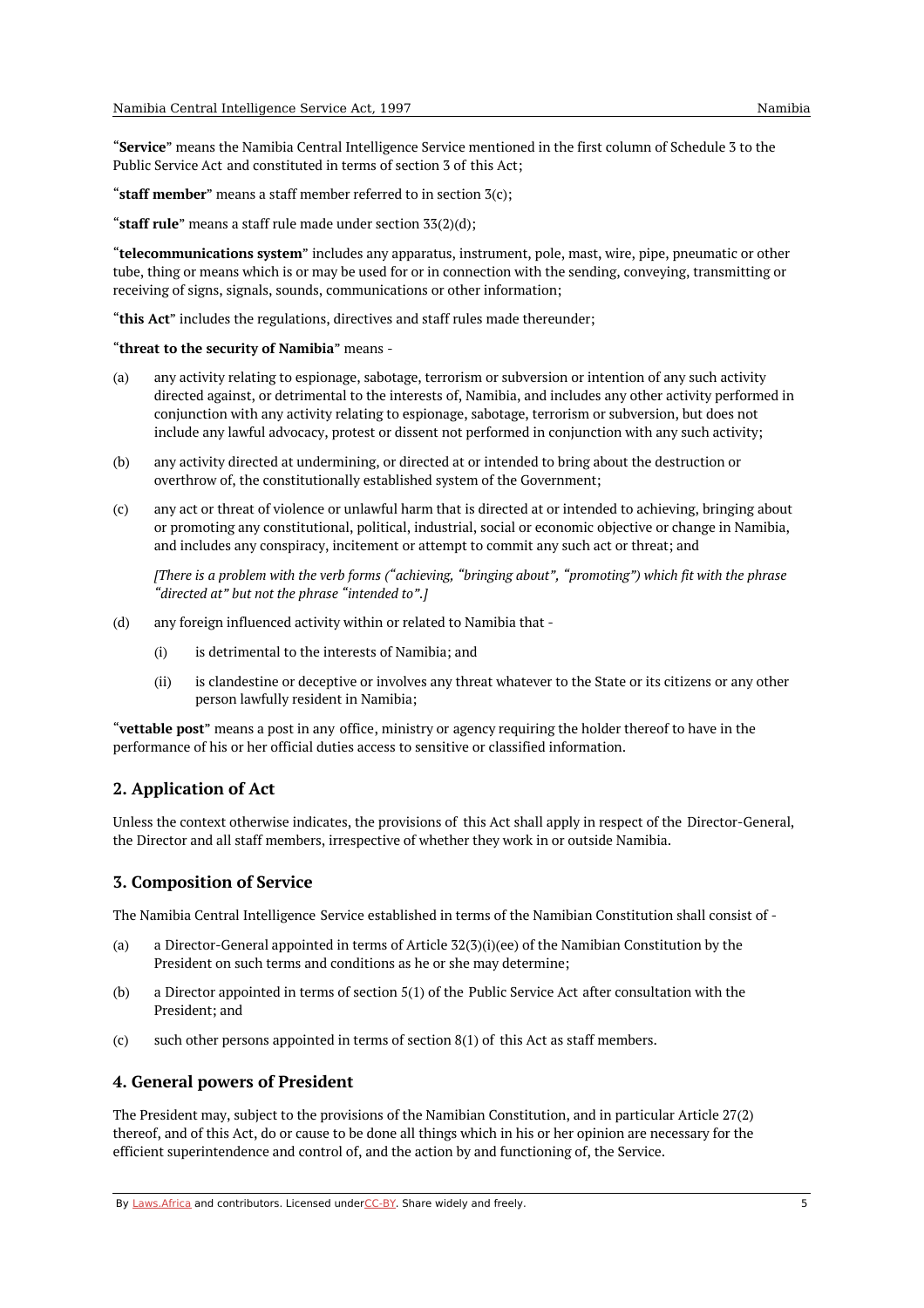"**Service**" means the Namibia Central Intelligence Service mentioned in the first column of Schedule 3 to the Public Service Act and constituted in terms of section 3 of this Act;

"**staff member**" means a staff member referred to in section 3(c);

"**staff rule**" means a staff rule made under section 33(2)(d);

"**telecommunications system**" includes any apparatus, instrument, pole, mast, wire, pipe, pneumatic or other tube, thing or means which is or may be used for or in connection with the sending, conveying, transmitting or receiving of signs, signals, sounds, communications or other information;

"**this Act**" includes the regulations, directives and staff rules made thereunder;

"**threat to the security of Namibia**" means -

- (a) any activity relating to espionage, sabotage, terrorism or subversion or intention of any such activity directed against, or detrimental to the interests of, Namibia, and includes any other activity performed in conjunction with any activity relating to espionage, sabotage, terrorism or subversion, but does not include any lawful advocacy, protest or dissent not performed in conjunction with any such activity;
- (b) any activity directed at undermining, or directed at or intended to bring about the destruction or overthrow of, the constitutionally established system of the Government;
- (c) any act or threat of violence or unlawful harm that is directed at or intended to achieving, bringing about or promoting any constitutional, political, industrial, social or economic objective or change in Namibia, and includes any conspiracy, incitement or attempt to commit any such act or threat; and

[There is a problem with the verb forms ("achieving, "bringing about", "promoting") which fit with the phrase *"directed at" but not the phrase "intended to".]*

- (d) any foreign influenced activity within or related to Namibia that -
	- (i) is detrimental to the interests of Namibia; and
	- (ii) is clandestine or deceptive or involves any threat whatever to the State or its citizens or any other person lawfully resident in Namibia;

"**vettable post**" means a post in any office, ministry or agency requiring the holder thereof to have in the performance of his or her official duties access to sensitive or classified information.

#### <span id="page-4-0"></span>**2. Application of Act**

Unless the context otherwise indicates, the provisions of this Act shall apply in respect of the Director-General, the Director and all staff members, irrespective of whether they work in or outside Namibia.

#### <span id="page-4-1"></span>**3. Composition of Service**

The Namibia Central Intelligence Service established in terms of the Namibian Constitution shall consist of -

- (a) a Director-General appointed in terms of Article 32(3)(i)(ee) of the Namibian Constitution by the President on such terms and conditions as he or she may determine;
- (b) a Director appointed in terms of section 5(1) of the Public Service Act after consultation with the President; and
- (c) such other persons appointed in terms of section 8(1) of this Act as staff members.

#### <span id="page-4-2"></span>**4. General powers of President**

The President may, subject to the provisions of the Namibian Constitution, and in particular Article 27(2) thereof, and of this Act, do or cause to be done all things which in his or her opinion are necessary for the efficient superintendence and control of, and the action by and functioning of, the Service.

By [Laws.Africa](https://edit.laws.africa/widgets/pdf-attribution) and contributors. Licensed und[erCC-B](https://edit.laws.africa/widgets/pdf-cc-by)Y. Share widely and freely.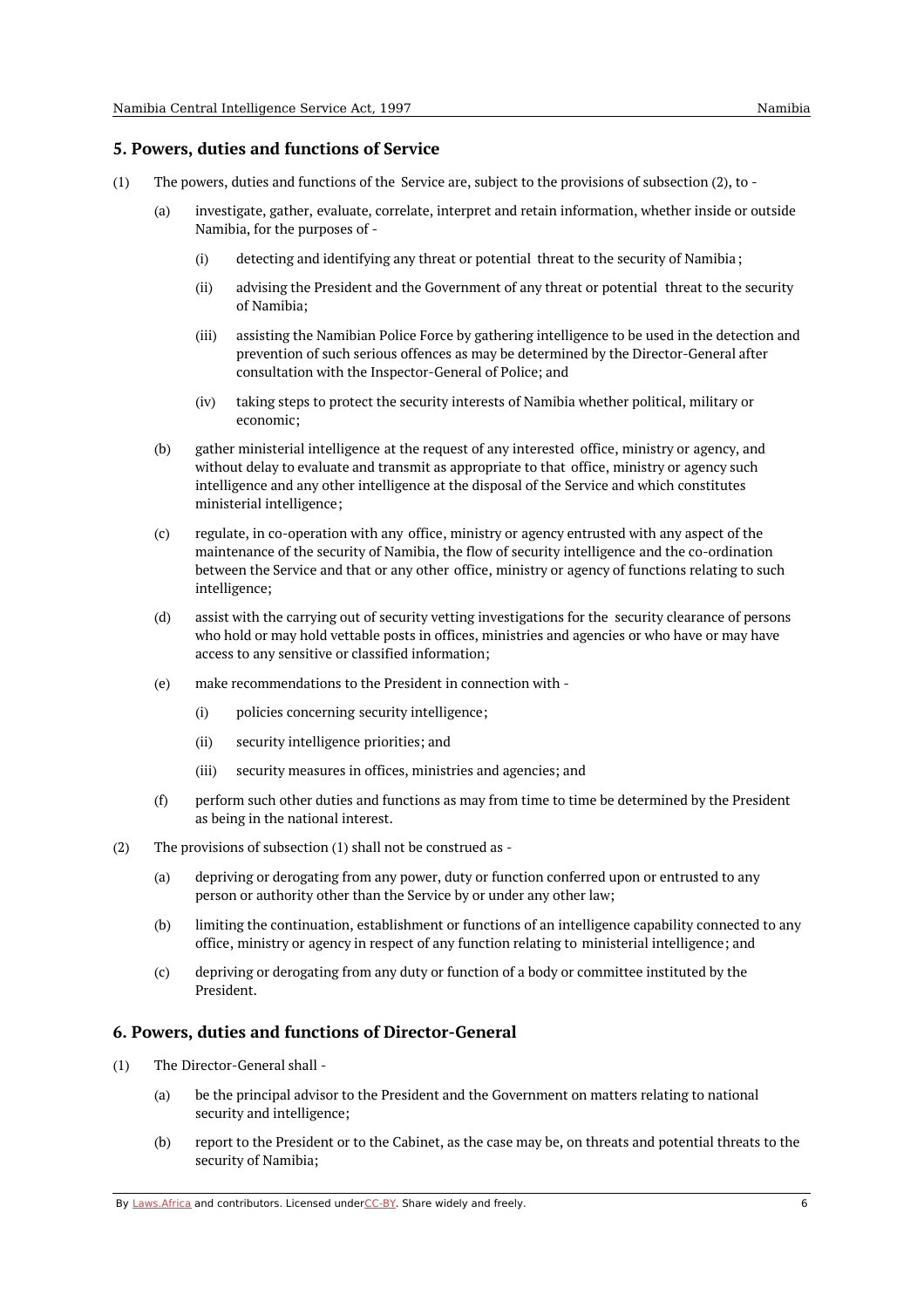#### <span id="page-5-0"></span>**5. Powers, duties and functions of Service**

- (1) The powers, duties and functions of the Service are, subject to the provisions of subsection (2), to -
	- (a) investigate, gather, evaluate, correlate, interpret and retain information, whether inside or outside Namibia, for the purposes of -
		- (i) detecting and identifying any threat or potential threat to the security of Namibia;
		- (ii) advising the President and the Government of any threat or potential threat to the security of Namibia;
		- (iii) assisting the Namibian Police Force by gathering intelligence to be used in the detection and prevention of such serious offences as may be determined by the Director-General after consultation with the Inspector-General of Police; and
		- (iv) taking steps to protect the security interests of Namibia whether political, military or economic;
	- (b) gather ministerial intelligence at the request of any interested office, ministry or agency, and without delay to evaluate and transmit as appropriate to that office, ministry or agency such intelligence and any other intelligence at the disposal of the Service and which constitutes ministerial intelligence;
	- (c) regulate, in co-operation with any office, ministry or agency entrusted with any aspect of the maintenance of the security of Namibia, the flow of security intelligence and the co-ordination between the Service and that or any other office, ministry or agency of functions relating to such intelligence;
	- (d) assist with the carrying out of security vetting investigations for the security clearance of persons who hold or may hold vettable posts in offices, ministries and agencies or who have or may have access to any sensitive or classified information;
	- (e) make recommendations to the President in connection with -
		- (i) policies concerning security intelligence;
		- (ii) security intelligence priorities; and
		- (iii) security measures in offices, ministries and agencies; and
	- (f) perform such other duties and functions as may from time to time be determined by the President as being in the national interest.
- (2) The provisions of subsection (1) shall not be construed as -
	- (a) depriving or derogating from any power, duty or function conferred upon or entrusted to any person or authority other than the Service by or under any other law;
	- (b) limiting the continuation, establishment or functions of an intelligence capability connected to any office, ministry or agency in respect of any function relating to ministerial intelligence; and
	- (c) depriving or derogating from any duty or function of a body or committee instituted by the President.

## <span id="page-5-1"></span>**6. Powers, duties and functions of Director-General**

- (1) The Director-General shall -
	- (a) be the principal advisor to the President and the Government on matters relating to national security and intelligence;
	- (b) report to the President or to the Cabinet, as the case may be, on threats and potential threats to the security of Namibia;

By [Laws.Africa](https://edit.laws.africa/widgets/pdf-attribution) and contributors. Licensed und[erCC-B](https://edit.laws.africa/widgets/pdf-cc-by)Y. Share widely and freely. 6 6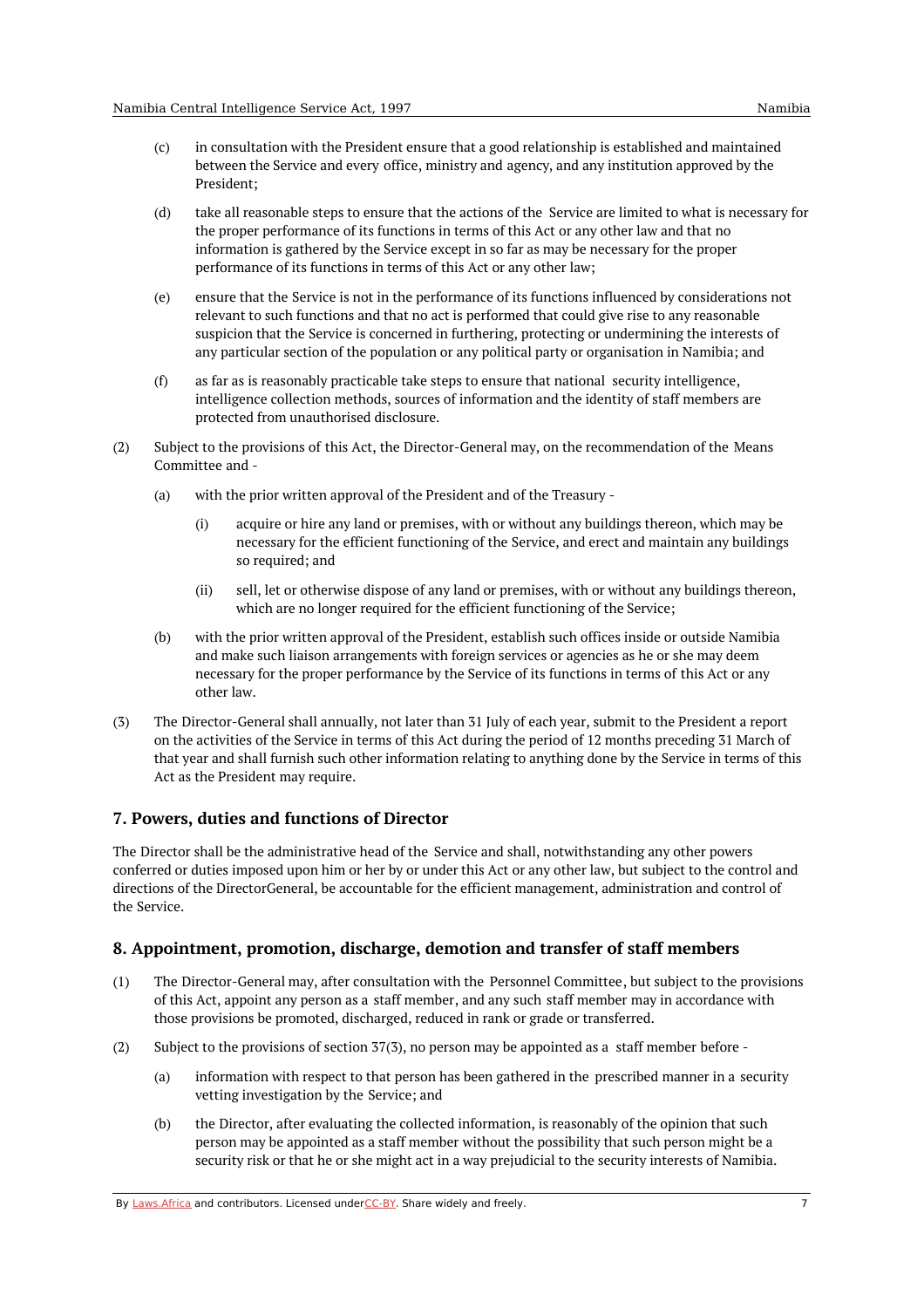- (d) take all reasonable steps to ensure that the actions of the Service are limited to what is necessary for the proper performance of its functions in terms of this Act or any other law and that no information is gathered by the Service except in so far as may be necessary for the proper performance of its functions in terms of this Act or any other law;
- (e) ensure that the Service is not in the performance of its functions influenced by considerations not relevant to such functions and that no act is performed that could give rise to any reasonable suspicion that the Service is concerned in furthering, protecting or undermining the interests of any particular section of the population or any political party or organisation in Namibia; and
- (f) as far as is reasonably practicable take steps to ensure that national security intelligence, intelligence collection methods, sources of information and the identity of staff members are protected from unauthorised disclosure.
- (2) Subject to the provisions of this Act, the Director-General may, on the recommendation of the Means Committee and -
	- (a) with the prior written approval of the President and of the Treasury -
		- (i) acquire or hire any land or premises, with or without any buildings thereon, which may be necessary for the efficient functioning of the Service, and erect and maintain any buildings so required; and
		- (ii) sell, let or otherwise dispose of any land or premises, with or without any buildings thereon, which are no longer required for the efficient functioning of the Service;
	- (b) with the prior written approval of the President, establish such offices inside or outside Namibia and make such liaison arrangements with foreign services or agencies as he or she may deem necessary for the proper performance by the Service of its functions in terms of this Act or any other law.
- (3) The Director-General shall annually, not later than 31 July of each year, submit to the President a report on the activities of the Service in terms of this Act during the period of 12 months preceding 31 March of that year and shall furnish such other information relating to anything done by the Service in terms of this Act as the President may require.

# <span id="page-6-0"></span>**7. Powers, duties and functions of Director**

The Director shall be the administrative head of the Service and shall, notwithstanding any other powers conferred or duties imposed upon him or her by or under this Act or any other law, but subject to the control and directions of the DirectorGeneral, be accountable for the efficient management, administration and control of the Service.

## <span id="page-6-1"></span>**8. Appointment, promotion, discharge, demotion and transfer of staff members**

- $(1)$ The Director-General may, after consultation with the Personnel Committee, but subject to the provisions of this Act, appoint any person as a staff member, and any such staff member may in accordance with those provisions be promoted, discharged, reduced in rank or grade or transferred.
- (2) Subject to the provisions of section 37(3), no person may be appointed as a staff member before -
	- (a) information with respect to that person has been gathered in the prescribed manner in a security vetting investigation by the Service; and
	- (b) the Director, after evaluating the collected information, is reasonably of the opinion that such person may be appointed as a staff member without the possibility that such person might be a security risk or that he or she might act in a way prejudicial to the security interests of Namibia.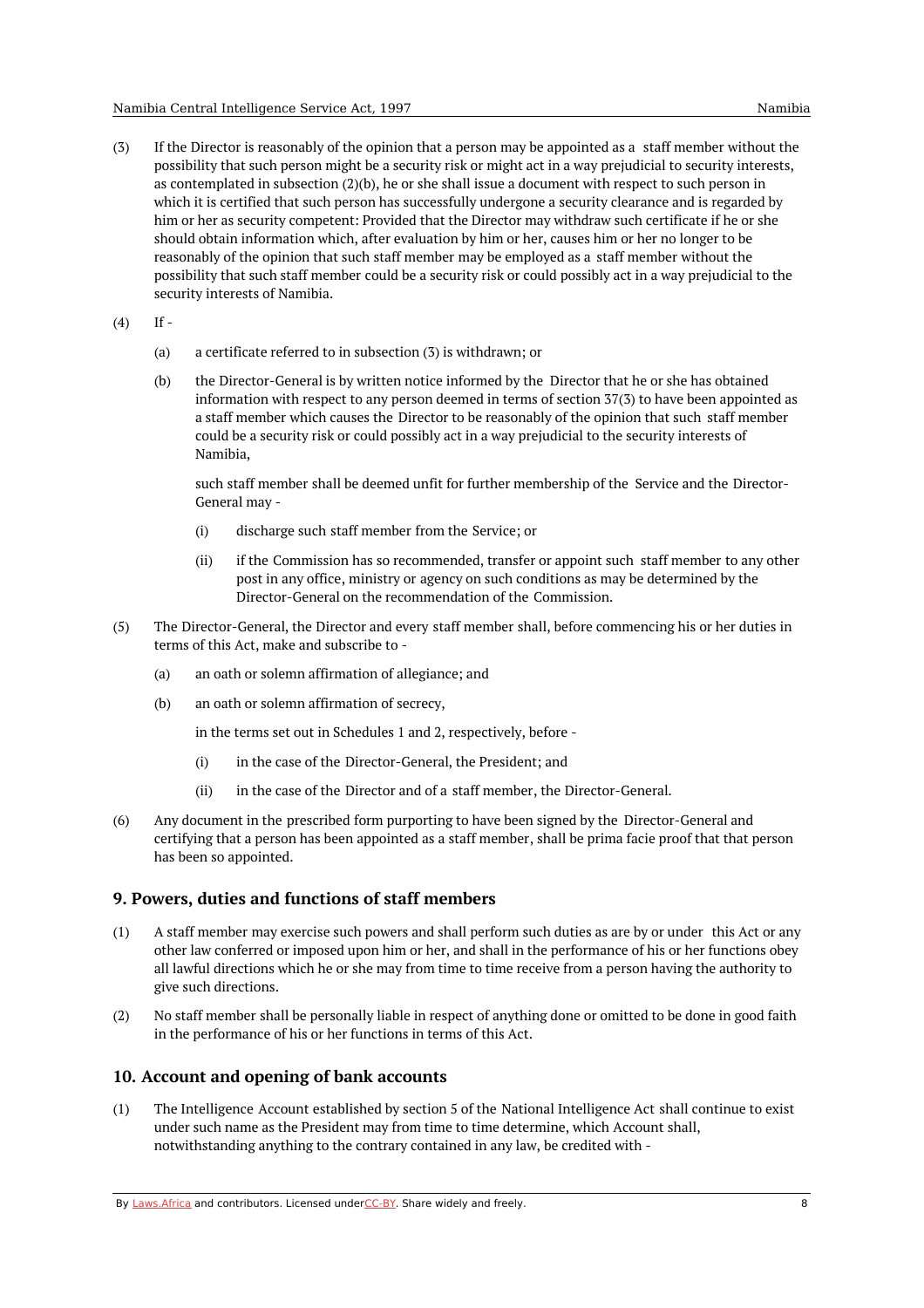- (3) If the Director is reasonably of the opinion that a person may be appointed as a staff member without the possibility that such person might be a security risk or might act in a way prejudicial to security interests, as contemplated in subsection (2)(b), he or she shall issue a document with respect to such person in which it is certified that such person has successfully undergone a security clearance and is regarded by him or her as security competent: Provided that the Director may withdraw such certificate if he or she should obtain information which, after evaluation by him or her, causes him or her no longer to be reasonably of the opinion that such staff member may be employed as a staff member without the possibility that such staff member could be a security risk or could possibly act in a way prejudicial to the security interests of Namibia.
- (4)  $If -$ 
	- (a) a certificate referred to in subsection (3) is withdrawn; or
	- (b) the Director-General is by written notice informed by the Director that he or she has obtained information with respect to any person deemed in terms of section 37(3) to have been appointed as a staff member which causes the Director to be reasonably of the opinion that such staff member could be a security risk or could possibly act in a way prejudicial to the security interests of Namibia,

such staff member shall be deemed unfit for further membership of the Service and the Director-General may -

- (i) discharge such staff member from the Service; or
- (ii) if the Commission has so recommended, transfer or appoint such staff member to any other post in any office, ministry or agency on such conditions as may be determined by the Director-General on the recommendation of the Commission.
- (5) The Director-General, the Director and every staff member shall, before commencing his or her duties in terms of this Act, make and subscribe to -
	- (a) an oath or solemn affirmation of allegiance; and
	- (b) an oath or solemn affirmation of secrecy,

in the terms set out in Schedules 1 and 2, respectively, before -

- (i) in the case of the Director-General, the President; and
- (ii) in the case of the Director and of a staff member, the Director-General.
- (6) Any document in the prescribed form purporting to have been signed by the Director-General and certifying that a person has been appointed as a staff member, shall be prima facie proof that that person has been so appointed.

#### <span id="page-7-0"></span>**9. Powers, duties and functions of staff members**

- (1) A staff member may exercise such powers and shall perform such duties as are by or under this Act or any other law conferred or imposed upon him or her, and shall in the performance of his or her functions obey all lawful directions which he or she may from time to time receive from a person having the authority to give such directions.
- (2) No staff member shall be personally liable in respect of anything done or omitted to be done in good faith in the performance of his or her functions in terms of this Act.

#### <span id="page-7-1"></span>**10. Account and opening of bank accounts**

(1) The Intelligence Account established by section 5 of the National Intelligence Act shall continue to exist under such name as the President may from time to time determine, which Account shall, notwithstanding anything to the contrary contained in any law, be credited with -

By [Laws.Africa](https://edit.laws.africa/widgets/pdf-attribution) and contributors. Licensed und[erCC-B](https://edit.laws.africa/widgets/pdf-cc-by)Y. Share widely and freely. **8** 8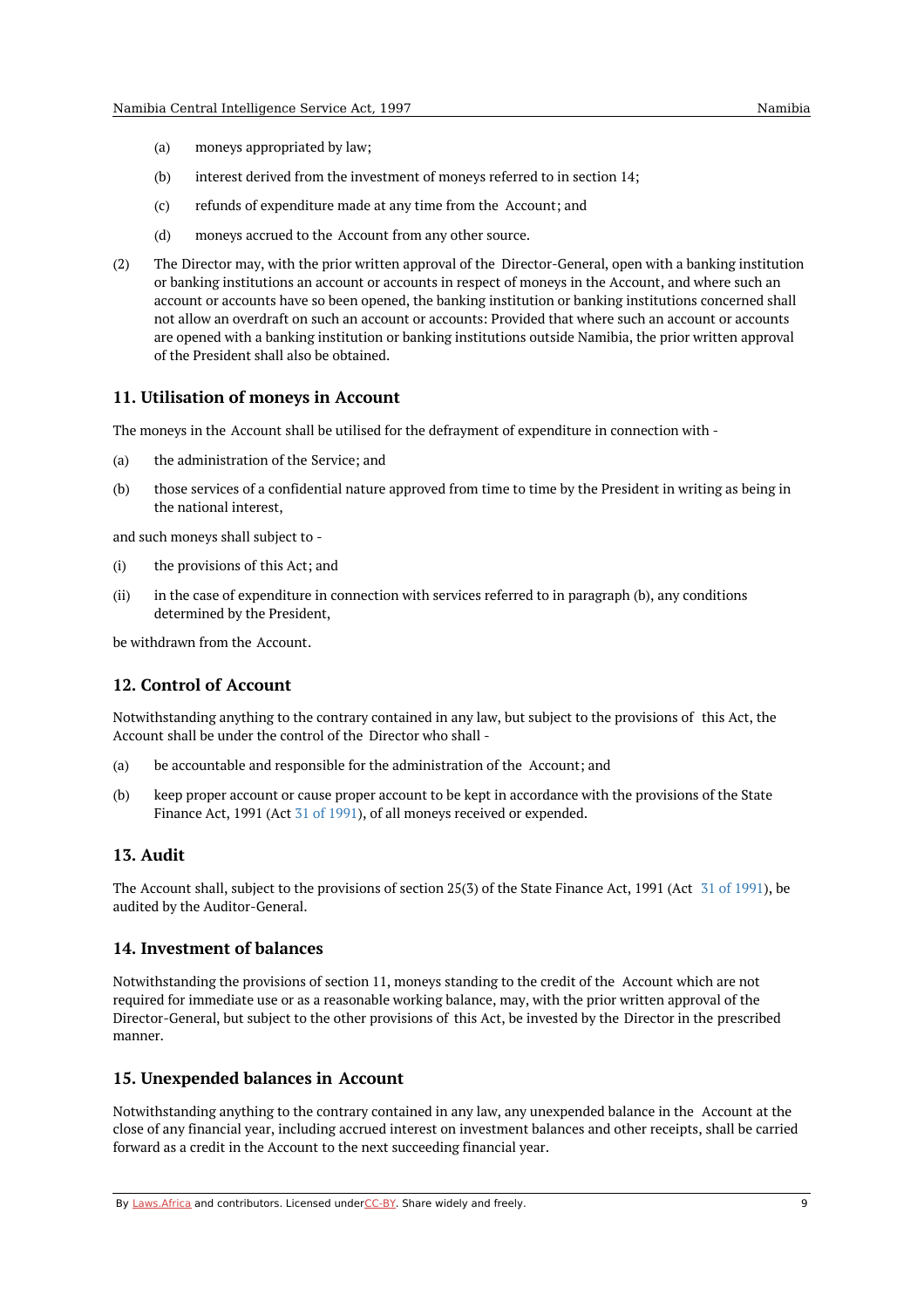- (a) moneys appropriated by law;
- (b) interest derived from the investment of moneys referred to in section 14;
- (c) refunds of expenditure made at any time from the Account; and
- (d) moneys accrued to the Account from any other source.
- (2) The Director may, with the prior written approval of the Director-General, open with a banking institution or banking institutions an account or accounts in respect of moneys in the Account, and where such an account or accounts have so been opened, the banking institution or banking institutions concerned shall not allow an overdraft on such an account or accounts: Provided that where such an account or accounts are opened with a banking institution or banking institutions outside Namibia, the prior written approval of the President shall also be obtained.

### <span id="page-8-0"></span>**11. Utilisation of moneys in Account**

The moneys in the Account shall be utilised for the defrayment of expenditure in connection with -

- (a) the administration of the Service; and
- $(h)$ those services of a confidential nature approved from time to time by the President in writing as being in the national interest,

and such moneys shall subject to -

- (i) the provisions of this Act; and
- (ii) in the case of expenditure in connection with services referred to in paragraph (b), any conditions determined by the President,

be withdrawn from the Account.

## <span id="page-8-1"></span>**12. Control of Account**

Notwithstanding anything to the contrary contained in any law, but subject to the provisions of this Act, the Account shall be under the control of the Director who shall -

- (a) be accountable and responsible for the administration of the Account; and
- (b) keep proper account or cause proper account to be kept in accordance with the provisions of the State Finance Act, 1991 (Act 31 of [1991](https://namiblii.org/akn/na/act/1991/31)), of all moneys received or expended.

#### <span id="page-8-2"></span>**13. Audit**

The Account shall, subject to the provisions of section 25(3) of the State Finance Act, 1991 (Act 31 of [1991](https://namiblii.org/akn/na/act/1991/31)), be audited by the Auditor-General.

#### <span id="page-8-3"></span>**14. Investment of balances**

Notwithstanding the provisions of section 11, moneys standing to the credit of the Account which are not required for immediate use or as a reasonable working balance, may, with the prior written approval of the Director-General, but subject to the other provisions of this Act, be invested by the Director in the prescribed manner.

#### <span id="page-8-4"></span>**15. Unexpended balances in Account**

Notwithstanding anything to the contrary contained in any law, any unexpended balance in the Account at the close of any financial year, including accrued interest on investment balances and other receipts, shall be carried forward as a credit in the Account to the next succeeding financial year.

By [Laws.Africa](https://edit.laws.africa/widgets/pdf-attribution) and contributors. Licensed und[erCC-B](https://edit.laws.africa/widgets/pdf-cc-by)Y. Share widely and freely. 9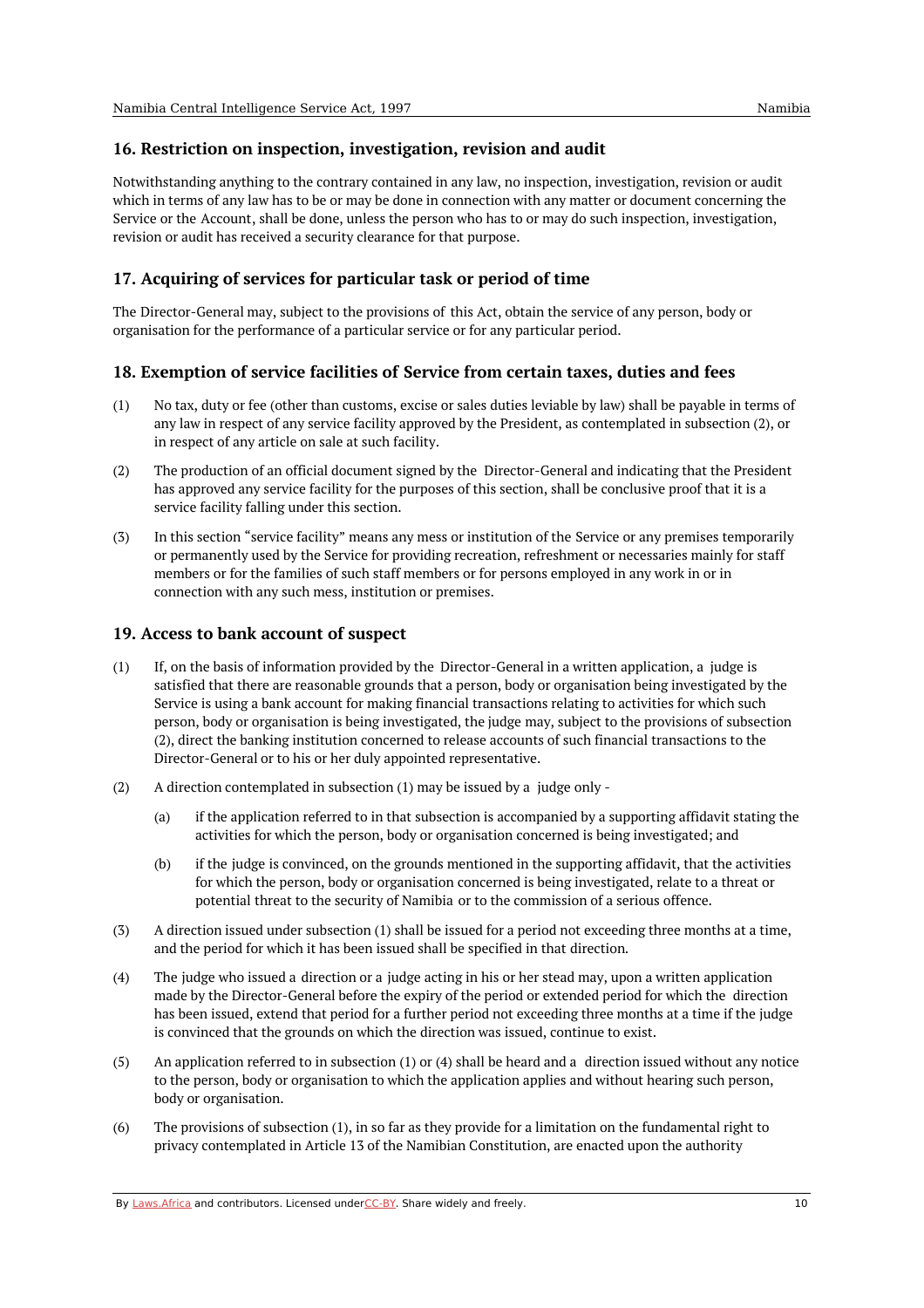#### <span id="page-9-0"></span>**16. Restriction on inspection, investigation, revision and audit**

Notwithstanding anything to the contrary contained in any law, no inspection, investigation, revision or audit which in terms of any law has to be or may be done in connection with any matter or document concerning the Service or the Account, shall be done, unless the person who has to or may do such inspection, investigation, revision or audit has received a security clearance for that purpose.

## <span id="page-9-1"></span>**17. Acquiring of services for particular task or period of time**

The Director-General may, subject to the provisions of this Act, obtain the service of any person, body or organisation for the performance of a particular service or for any particular period.

## <span id="page-9-2"></span>**18. Exemption of service facilities of Service from certain taxes, duties and fees**

- (1) No tax, duty or fee (other than customs, excise or sales duties leviable by law) shall be payable in terms of any law in respect of any service facility approved by the President, as contemplated in subsection (2), or in respect of any article on sale at such facility.
- (2) The production of an official document signed by the Director-General and indicating that the President has approved any service facility for the purposes of this section, shall be conclusive proof that it is a service facility falling under this section.
- (3) In this section "service facility" means any mess or institution of the Service or any premises temporarily or permanently used by the Service for providing recreation, refreshment or necessaries mainly for staff members or for the families of such staff members or for persons employed in any work in or in connection with any such mess, institution or premises.

#### <span id="page-9-3"></span>**19. Access to bank account of suspect**

- (1) If, on the basis of information provided by the Director-General in a written application, a judge is satisfied that there are reasonable grounds that a person, body or organisation being investigated by the Service is using a bank account for making financial transactions relating to activities for which such person, body or organisation is being investigated, the judge may, subject to the provisions of subsection (2), direct the banking institution concerned to release accounts of such financial transactions to the Director-General or to his or her duly appointed representative.
- (2) A direction contemplated in subsection (1) may be issued by a judge only -
	- (a) if the application referred to in that subsection is accompanied by a supporting affidavit stating the activities for which the person, body or organisation concerned is being investigated; and
	- $(h)$ if the judge is convinced, on the grounds mentioned in the supporting affidavit, that the activities for which the person, body or organisation concerned is being investigated, relate to a threat or potential threat to the security of Namibia or to the commission of a serious offence.
- (3) A direction issued under subsection (1) shall be issued for a period not exceeding three months at a time, and the period for which it has been issued shall be specified in that direction.
- (4) The judge who issued a direction or a judge acting in his or her stead may, upon a written application made by the Director-General before the expiry of the period or extended period for which the direction has been issued, extend that period for a further period not exceeding three months at a time if the judge is convinced that the grounds on which the direction was issued, continue to exist.
- (5) An application referred to in subsection (1) or (4) shall be heard and a direction issued without any notice to the person, body or organisation to which the application applies and without hearing such person, body or organisation.
- (6) The provisions of subsection (1), in so far as they provide for a limitation on the fundamental right to privacy contemplated in Article 13 of the Namibian Constitution, are enacted upon the authority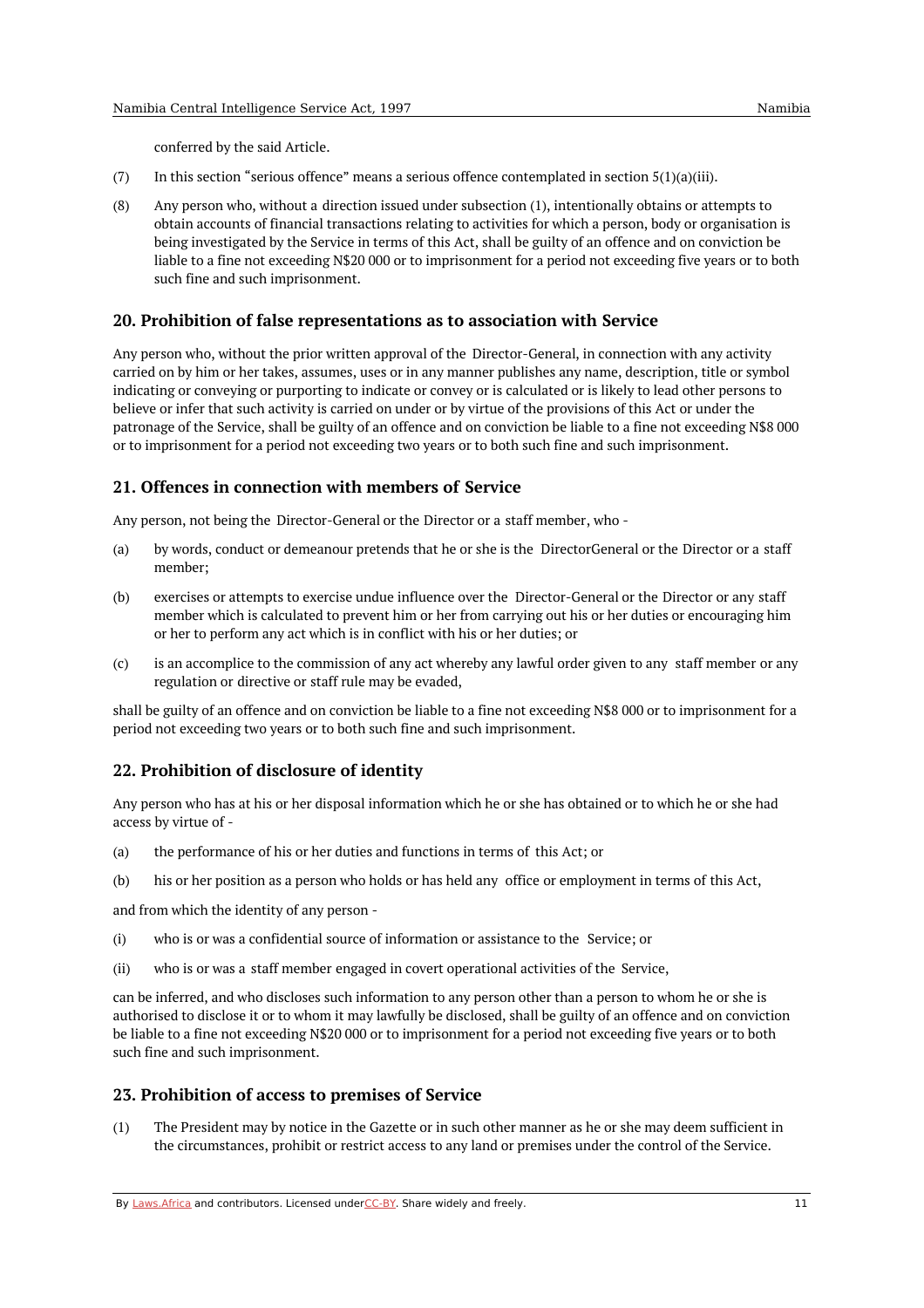conferred by the said Article.

- (7) In this section "serious offence" means a serious offence contemplated in section  $5(1)(a)(iii)$ .
- (8) Any person who, without a direction issued under subsection (1), intentionally obtains or attempts to obtain accounts of financial transactions relating to activities for which a person, body or organisation is being investigated by the Service in terms of this Act, shall be guilty of an offence and on conviction be liable to a fine not exceeding N\$20 000 or to imprisonment for a period not exceeding five years or to both such fine and such imprisonment.

#### <span id="page-10-0"></span>**20. Prohibition of false representations as to association with Service**

Any person who, without the prior written approval of the Director-General, in connection with any activity carried on by him or her takes, assumes, uses or in any manner publishes any name, description, title or symbol indicating or conveying or purporting to indicate or convey or is calculated or is likely to lead other persons to believe or infer that such activity is carried on under or by virtue of the provisions of this Act or under the patronage of the Service, shall be guilty of an offence and on conviction be liable to a fine not exceeding N\$8 000 or to imprisonment for a period not exceeding two years or to both such fine and such imprisonment.

## <span id="page-10-1"></span>**21. Offences in connection with members of Service**

Any person, not being the Director-General or the Director or a staff member, who -

- (a) by words, conduct or demeanour pretends that he or she is the DirectorGeneral or the Director or a staff member;
- (b) exercises or attempts to exercise undue influence over the Director-General or the Director or any staff member which is calculated to prevent him or her from carrying out his or her duties or encouraging him or her to perform any act which is in conflict with his or her duties; or
- (c) is an accomplice to the commission of any act whereby any lawful order given to any staff member or any regulation or directive or staff rule may be evaded,

shall be guilty of an offence and on conviction be liable to a fine not exceeding N\$8 000 or to imprisonment for a period not exceeding two years or to both such fine and such imprisonment.

## <span id="page-10-2"></span>**22. Prohibition of disclosure of identity**

Any person who has at his or her disposal information which he or she has obtained or to which he or she had access by virtue of -

- (a) the performance of his or her duties and functions in terms of this Act; or
- $(h)$ his or her position as a person who holds or has held any office or employment in terms of this Act,

and from which the identity of any person -

- (i) who is or was a confidential source of information or assistance to the Service; or
- (ii) who is or was a staff member engaged in covert operational activities of the Service,

can be inferred, and who discloses such information to any person other than a person to whom he or she is authorised to disclose it or to whom it may lawfully be disclosed, shall be guilty of an offence and on conviction be liable to a fine not exceeding N\$20 000 or to imprisonment for a period not exceeding five years or to both such fine and such imprisonment.

## <span id="page-10-3"></span>**23. Prohibition of access to premises of Service**

(1) The President may by notice in the Gazette or in such other manner as he or she may deem sufficient in the circumstances, prohibit or restrict access to any land or premises under the control of the Service.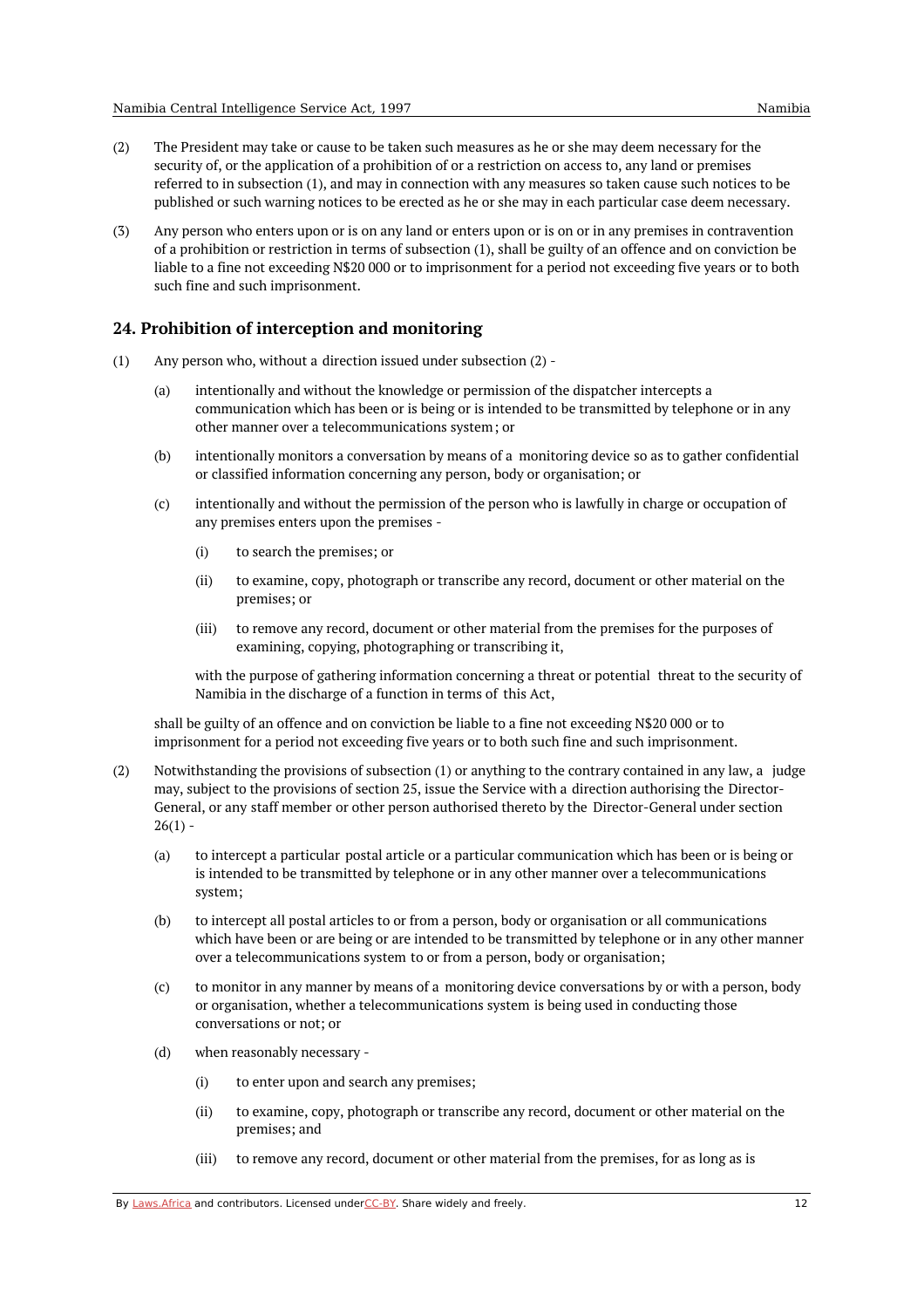- (2) The President may take or cause to be taken such measures as he or she may deem necessary for the security of, or the application of a prohibition of or a restriction on access to, any land or premises referred to in subsection (1), and may in connection with any measures so taken cause such notices to be published or such warning notices to be erected as he or she may in each particular case deem necessary.
- (3) Any person who enters upon or is on any land or enters upon or is on or in any premises in contravention of a prohibition or restriction in terms of subsection (1), shall be guilty of an offence and on conviction be liable to a fine not exceeding N\$20 000 or to imprisonment for a period not exceeding five years or to both such fine and such imprisonment.

### <span id="page-11-0"></span>**24. Prohibition of interception and monitoring**

- (1) Any person who, without a direction issued under subsection (2) -
	- (a) intentionally and without the knowledge or permission of the dispatcher intercepts a communication which has been or is being or is intended to be transmitted by telephone or in any other manner over a telecommunications system; or
	- (b) intentionally monitors a conversation by means of a monitoring device so as to gather confidential or classified information concerning any person, body or organisation; or
	- (c) intentionally and without the permission of the person who is lawfully in charge or occupation of any premises enters upon the premises -
		- (i) to search the premises; or
		- (ii) to examine, copy, photograph or transcribe any record, document or other material on the premises; or
		- (iii) to remove any record, document or other material from the premises for the purposes of examining, copying, photographing or transcribing it,

with the purpose of gathering information concerning a threat or potential threat to the security of Namibia in the discharge of a function in terms of this Act,

shall be guilty of an offence and on conviction be liable to a fine not exceeding N\$20 000 or to imprisonment for a period not exceeding five years or to both such fine and such imprisonment.

- (2) Notwithstanding the provisions of subsection (1) or anything to the contrary contained in any law, a judge may, subject to the provisions of section 25, issue the Service with a direction authorising the Director-General, or any staff member or other person authorised thereto by the Director-General under section  $26(1) -$ 
	- (a) to intercept a particular postal article or a particular communication which has been or is being or is intended to be transmitted by telephone or in any other manner over a telecommunications system;
	- (b) to intercept all postal articles to or from a person, body or organisation or all communications which have been or are being or are intended to be transmitted by telephone or in any other manner over a telecommunications system to or from a person, body or organisation;
	- (c) to monitor in any manner by means of a monitoring device conversations by or with a person, body or organisation, whether a telecommunications system is being used in conducting those conversations or not; or
	- (d) when reasonably necessary -
		- (i) to enter upon and search any premises;
		- (ii) to examine, copy, photograph or transcribe any record, document or other material on the premises; and
		- (iii) to remove any record, document or other material from the premises, for as long as is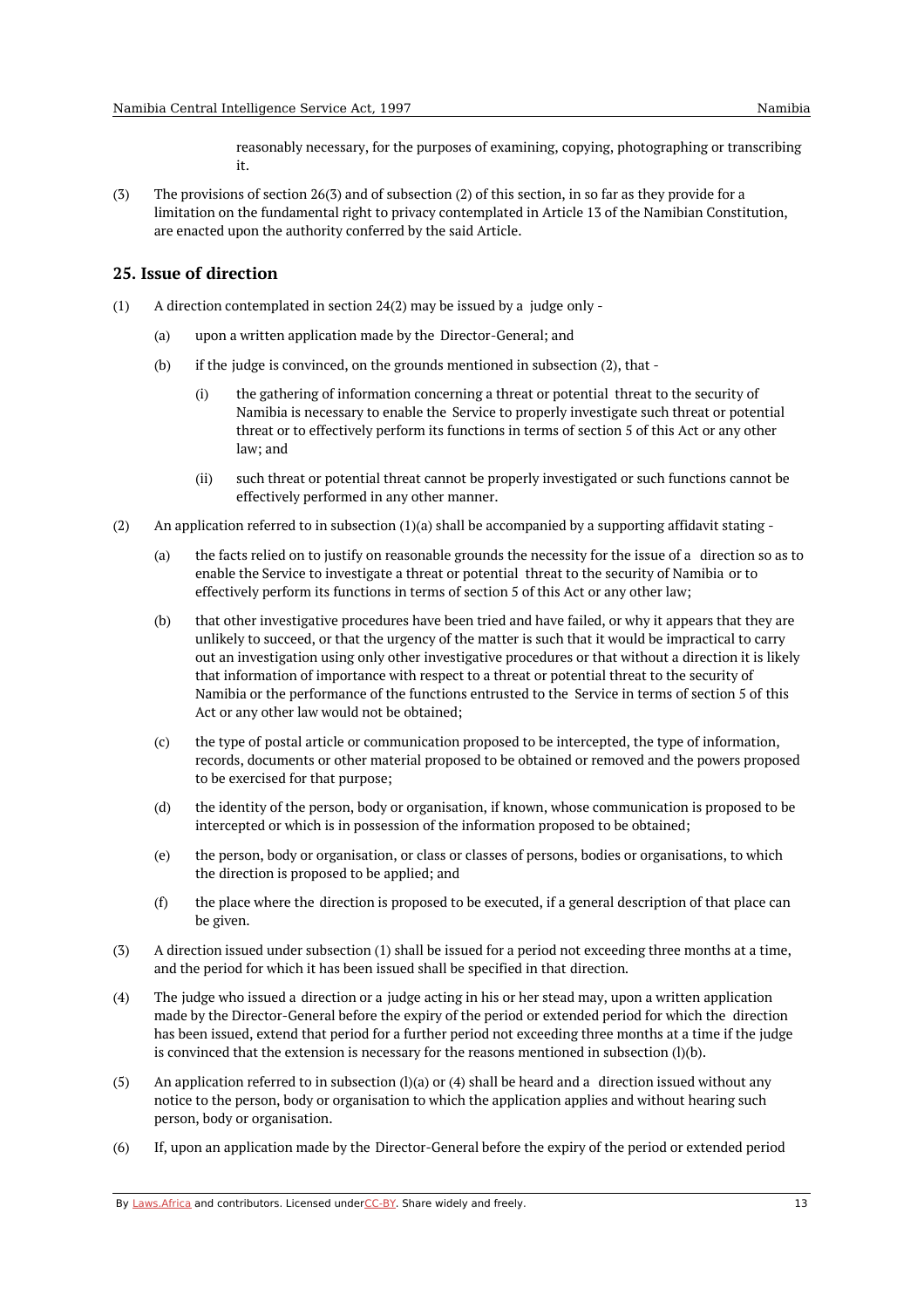reasonably necessary, for the purposes of examining, copying, photographing or transcribing it.

(3) The provisions of section 26(3) and of subsection (2) of this section, in so far as they provide for a limitation on the fundamental right to privacy contemplated in Article 13 of the Namibian Constitution, are enacted upon the authority conferred by the said Article.

## <span id="page-12-0"></span>**25. Issue of direction**

- (1) A direction contemplated in section 24(2) may be issued by a judge only -
	- (a) upon a written application made by the Director-General; and
	- (b) if the judge is convinced, on the grounds mentioned in subsection (2), that -
		- (i) the gathering of information concerning a threat or potential threat to the security of Namibia is necessary to enable the Service to properly investigate such threat or potential threat or to effectively perform its functions in terms of section 5 of this Act or any other law; and
		- (ii) such threat or potential threat cannot be properly investigated or such functions cannot be effectively performed in any other manner.
- (2) An application referred to in subsection (1)(a) shall be accompanied by a supporting affidavit stating -
	- (a) the facts relied on to justify on reasonable grounds the necessity for the issue of a direction so as to enable the Service to investigate a threat or potential threat to the security of Namibia or to effectively perform its functions in terms of section 5 of this Act or any other law;
	- (b) that other investigative procedures have been tried and have failed, or why it appears that they are unlikely to succeed, or that the urgency of the matter is such that it would be impractical to carry out an investigation using only other investigative procedures or that without a direction it is likely that information of importance with respect to a threat or potential threat to the security of Namibia or the performance of the functions entrusted to the Service in terms of section 5 of this Act or any other law would not be obtained;
	- (c) the type of postal article or communication proposed to be intercepted, the type of information, records, documents or other material proposed to be obtained or removed and the powers proposed to be exercised for that purpose;
	- (d) the identity of the person, body or organisation, if known, whose communication is proposed to be intercepted or which is in possession of the information proposed to be obtained;
	- (e) the person, body or organisation, or class or classes of persons, bodies or organisations, to which the direction is proposed to be applied; and
	- (f) the place where the direction is proposed to be executed, if a general description of that place can be given.
- (3) A direction issued under subsection (1) shall be issued for a period not exceeding three months at a time, and the period for which it has been issued shall be specified in that direction.
- (4) The judge who issued a direction or a judge acting in his or her stead may, upon a written application made by the Director-General before the expiry of the period or extended period for which the direction has been issued, extend that period for a further period not exceeding three months at a time if the judge is convinced that the extension is necessary for the reasons mentioned in subsection  $(l)(b)$ .
- (5) An application referred to in subsection  $(1)(a)$  or  $(4)$  shall be heard and a direction issued without any notice to the person, body or organisation to which the application applies and without hearing such person, body or organisation.
- (6) If, upon an application made by the Director-General before the expiry of the period or extended period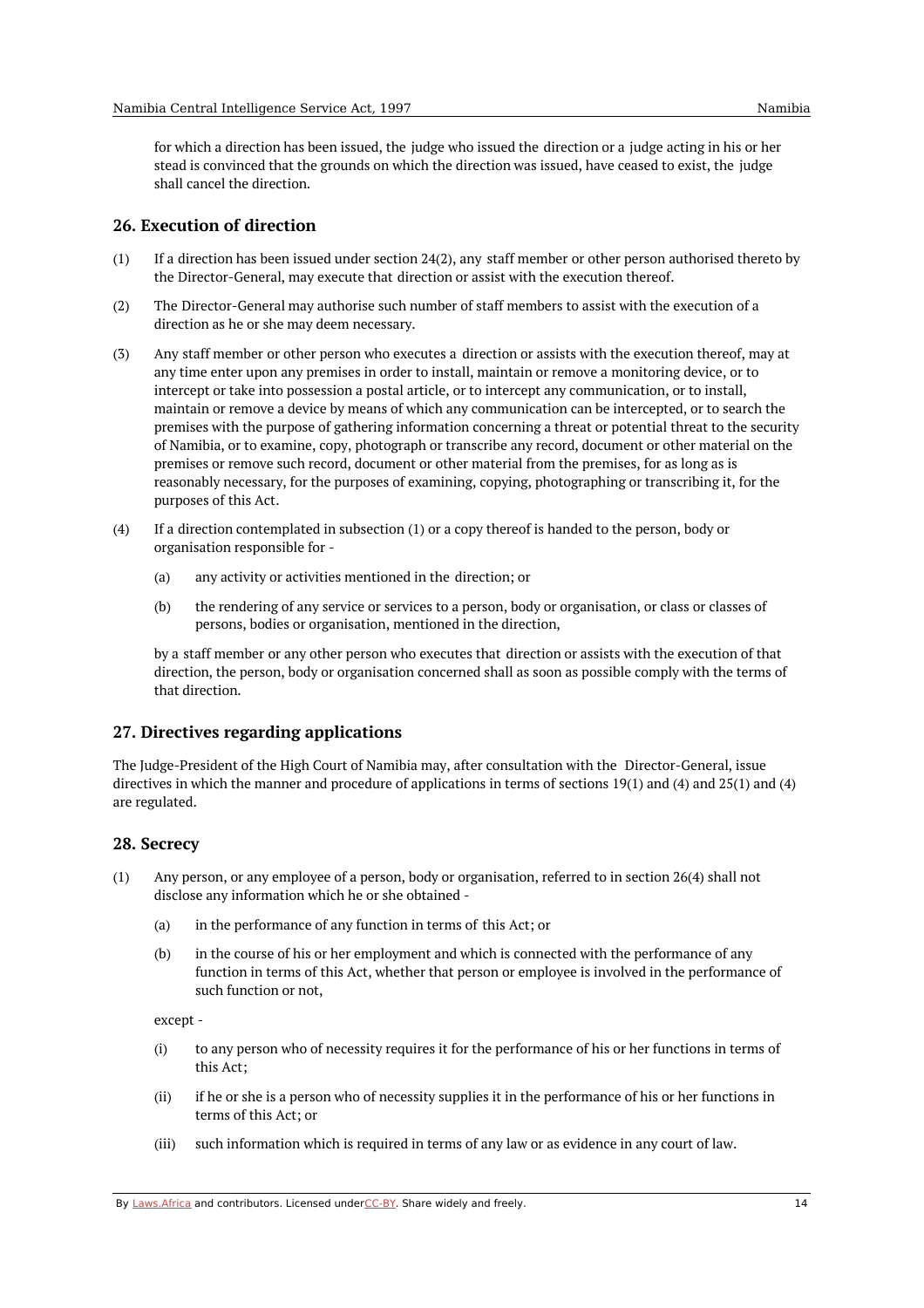for which a direction has been issued, the judge who issued the direction or a judge acting in his or her stead is convinced that the grounds on which the direction was issued, have ceased to exist, the judge shall cancel the direction.

#### <span id="page-13-0"></span>**26. Execution of direction**

- (1) If a direction has been issued under section 24(2), any staff member or other person authorised thereto by the Director-General, may execute that direction or assist with the execution thereof.
- (2) The Director-General may authorise such number of staff members to assist with the execution of a direction as he or she may deem necessary.
- (3) Any staff member or other person who executes a direction or assists with the execution thereof, may at any time enter upon any premises in order to install, maintain or remove a monitoring device, or to intercept or take into possession a postal article, or to intercept any communication, or to install, maintain or remove a device by means of which any communication can be intercepted, or to search the premises with the purpose of gathering information concerning a threat or potential threat to the security of Namibia, or to examine, copy, photograph or transcribe any record, document or other material on the premises or remove such record, document or other material from the premises, for as long as is reasonably necessary, for the purposes of examining, copying, photographing or transcribing it, for the purposes of this Act.
- $(4)$ If a direction contemplated in subsection (1) or a copy thereof is handed to the person, body or organisation responsible for -
	- (a) any activity or activities mentioned in the direction; or
	- (b) the rendering of any service or services to a person, body or organisation, or class or classes of persons, bodies or organisation, mentioned in the direction,

by a staff member or any other person who executes that direction or assists with the execution of that direction, the person, body or organisation concerned shall as soon as possible comply with the terms of that direction.

#### <span id="page-13-1"></span>**27. Directives regarding applications**

The Judge-President of the High Court of Namibia may, after consultation with the Director-General, issue directives in which the manner and procedure of applications in terms of sections 19(1) and (4) and 25(1) and (4) are regulated.

#### <span id="page-13-2"></span>**28. Secrecy**

- (1) Any person, or any employee of a person, body or organisation, referred to in section 26(4) shall not disclose any information which he or she obtained -
	- (a) in the performance of any function in terms of this Act; or
	- (b) in the course of his or her employment and which is connected with the performance of any function in terms of this Act, whether that person or employee is involved in the performance of such function or not,

except -

- (i) to any person who of necessity requires it for the performance of his or her functions in terms of this Act;
- (ii) if he or she is a person who of necessity supplies it in the performance of his or her functions in terms of this Act; or
- (iii) such information which is required in terms of any law or as evidence in any court of law.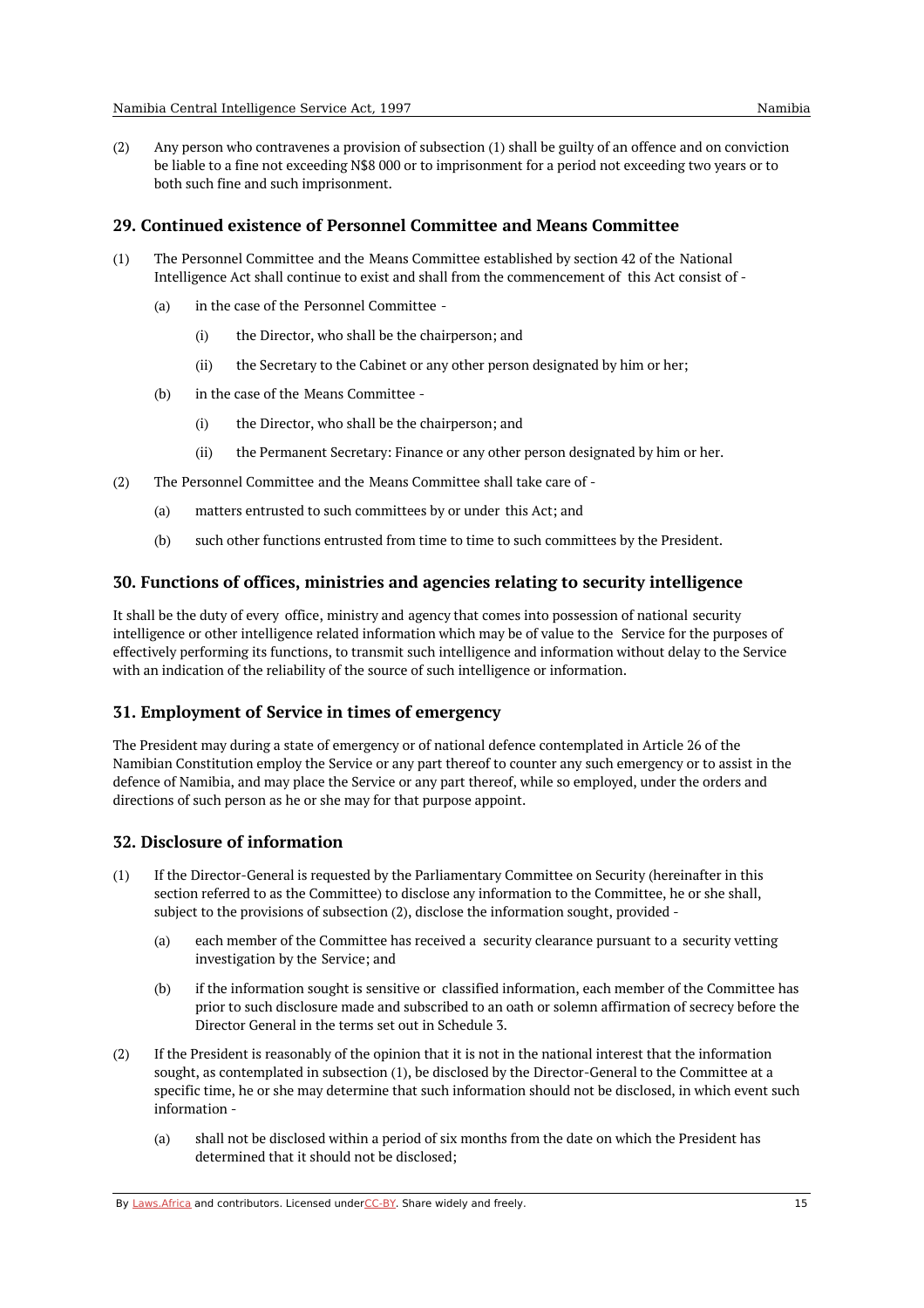(2) Any person who contravenes a provision of subsection (1) shall be guilty of an offence and on conviction be liable to a fine not exceeding N\$8 000 or to imprisonment for a period not exceeding two years or to both such fine and such imprisonment.

### <span id="page-14-0"></span>**29. Continued existence of Personnel Committee and Means Committee**

- (1) The Personnel Committee and the Means Committee established by section 42 of the National Intelligence Act shall continue to exist and shall from the commencement of this Act consist of -
	- (a) in the case of the Personnel Committee -
		- $(i)$ the Director, who shall be the chairperson; and
		- (ii) the Secretary to the Cabinet or any other person designated by him or her;
	- (b) in the case of the Means Committee -
		- (i) the Director, who shall be the chairperson; and
		- (ii) the Permanent Secretary: Finance or any other person designated by him or her.
- (2) The Personnel Committee and the Means Committee shall take care of -
	- (a) matters entrusted to such committees by or under this Act; and
	- (b) such other functions entrusted from time to time to such committees by the President.

#### <span id="page-14-1"></span>**30. Functions of offices, ministries and agencies relating to security intelligence**

It shall be the duty of every office, ministry and agency that comes into possession of national security intelligence or other intelligence related information which may be of value to the Service for the purposes of effectively performing its functions, to transmit such intelligence and information without delay to the Service with an indication of the reliability of the source of such intelligence or information.

## <span id="page-14-2"></span>**31. Employment of Service in times of emergency**

The President may during a state of emergency or of national defence contemplated in Article 26 of the Namibian Constitution employ the Service or any part thereof to counter any such emergency or to assist in the defence of Namibia, and may place the Service or any part thereof, while so employed, under the orders and directions of such person as he or she may for that purpose appoint.

## <span id="page-14-3"></span>**32. Disclosure of information**

- (1) If the Director-General is requested by the Parliamentary Committee on Security (hereinafter in this section referred to as the Committee) to disclose any information to the Committee, he or she shall, subject to the provisions of subsection (2), disclose the information sought, provided -
	- (a) each member of the Committee has received a security clearance pursuant to a security vetting investigation by the Service; and
	- (b) if the information sought is sensitive or classified information, each member of the Committee has prior to such disclosure made and subscribed to an oath or solemn affirmation of secrecy before the Director General in the terms set out in Schedule 3.
- (2) If the President is reasonably of the opinion that it is not in the national interest that the information sought, as contemplated in subsection (1), be disclosed by the Director-General to the Committee at a specific time, he or she may determine that such information should not be disclosed, in which event such information -
	- (a) shall not be disclosed within a period of six months from the date on which the President has determined that it should not be disclosed;

By [Laws.Africa](https://edit.laws.africa/widgets/pdf-attribution) and contributors. Licensed und[erCC-B](https://edit.laws.africa/widgets/pdf-cc-by)Y. Share widely and freely. 15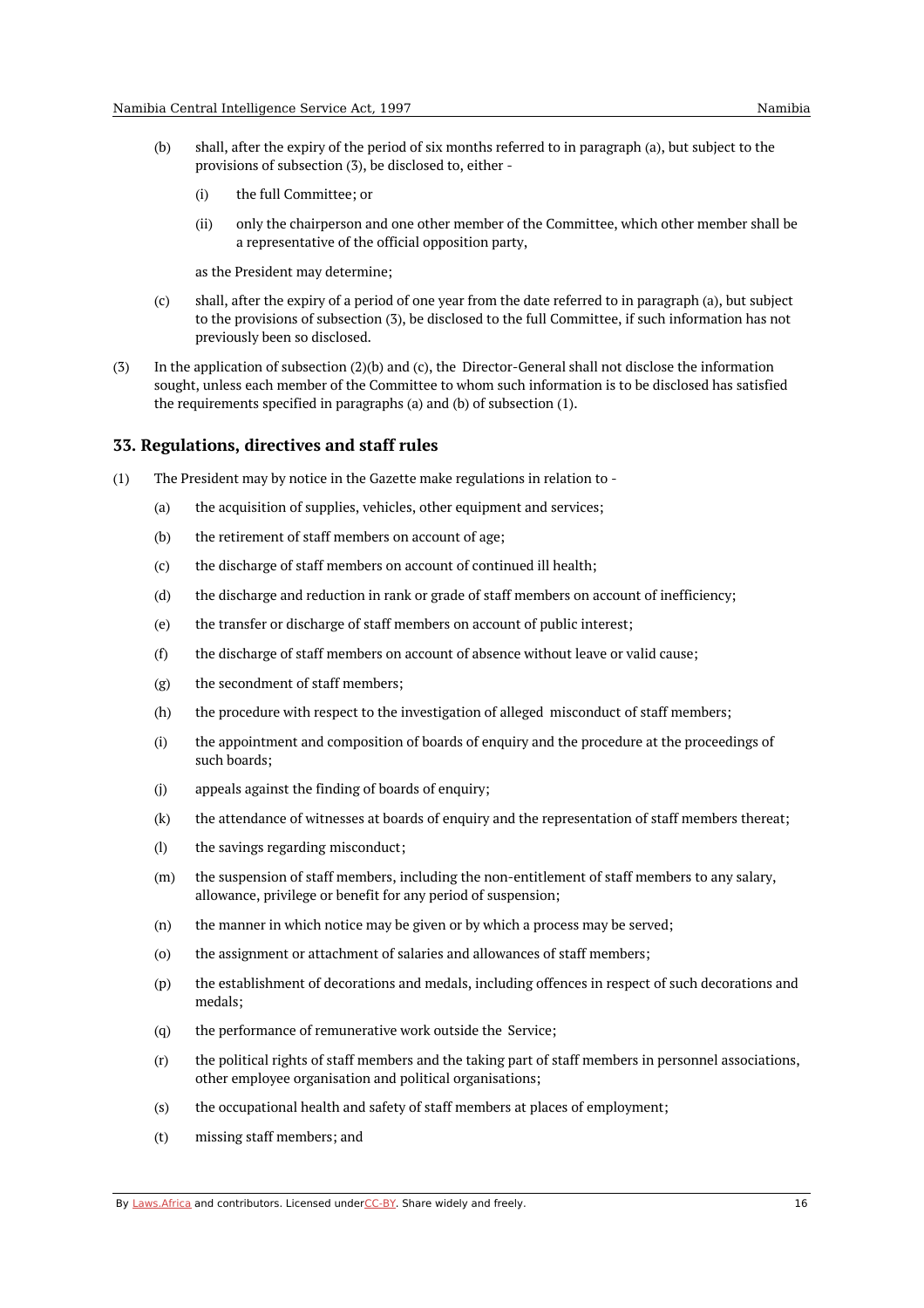- (b) shall, after the expiry of the period of six months referred to in paragraph (a), but subject to the provisions of subsection (3), be disclosed to, either -
	- (i) the full Committee; or
	- (ii) only the chairperson and one other member of the Committee, which other member shall be a representative of the official opposition party,

as the President may determine;

- (c) shall, after the expiry of a period of one year from the date referred to in paragraph (a), but subject to the provisions of subsection (3), be disclosed to the full Committee, if such information has not previously been so disclosed.
- (3) In the application of subsection (2)(b) and (c), the Director-General shall not disclose the information sought, unless each member of the Committee to whom such information is to be disclosed has satisfied the requirements specified in paragraphs (a) and (b) of subsection (1).

#### <span id="page-15-0"></span>**33. Regulations, directives and staff rules**

- (1) The President may by notice in the Gazette make regulations in relation to -
	- (a) the acquisition of supplies, vehicles, other equipment and services;
	- (b) the retirement of staff members on account of age;
	- $(c)$ the discharge of staff members on account of continued ill health;
	- (d) the discharge and reduction in rank or grade of staff members on account of inefficiency;
	- (e) the transfer or discharge of staff members on account of public interest;
	- (f) the discharge of staff members on account of absence without leave or valid cause;
	- (g) the secondment of staff members;
	- (h) the procedure with respect to the investigation of alleged misconduct of staff members;
	- (i) the appointment and composition of boards of enquiry and the procedure at the proceedings of such boards;
	- (j) appeals against the finding of boards of enquiry;
	- (k) the attendance of witnesses at boards of enquiry and the representation of staff members thereat;
	- (l) the savings regarding misconduct;
	- (m) the suspension of staff members, including the non-entitlement of staff members to any salary, allowance, privilege or benefit for any period of suspension;
	- (n) the manner in which notice may be given or by which a process may be served;
	- (o) the assignment or attachment of salaries and allowances of staff members;
	- (p) the establishment of decorations and medals, including offences in respect of such decorations and medals;
	- (q) the performance of remunerative work outside the Service;
	- (r) the political rights of staff members and the taking part of staff members in personnel associations, other employee organisation and political organisations;
	- (s) the occupational health and safety of staff members at places of employment;
	- (t) missing staff members; and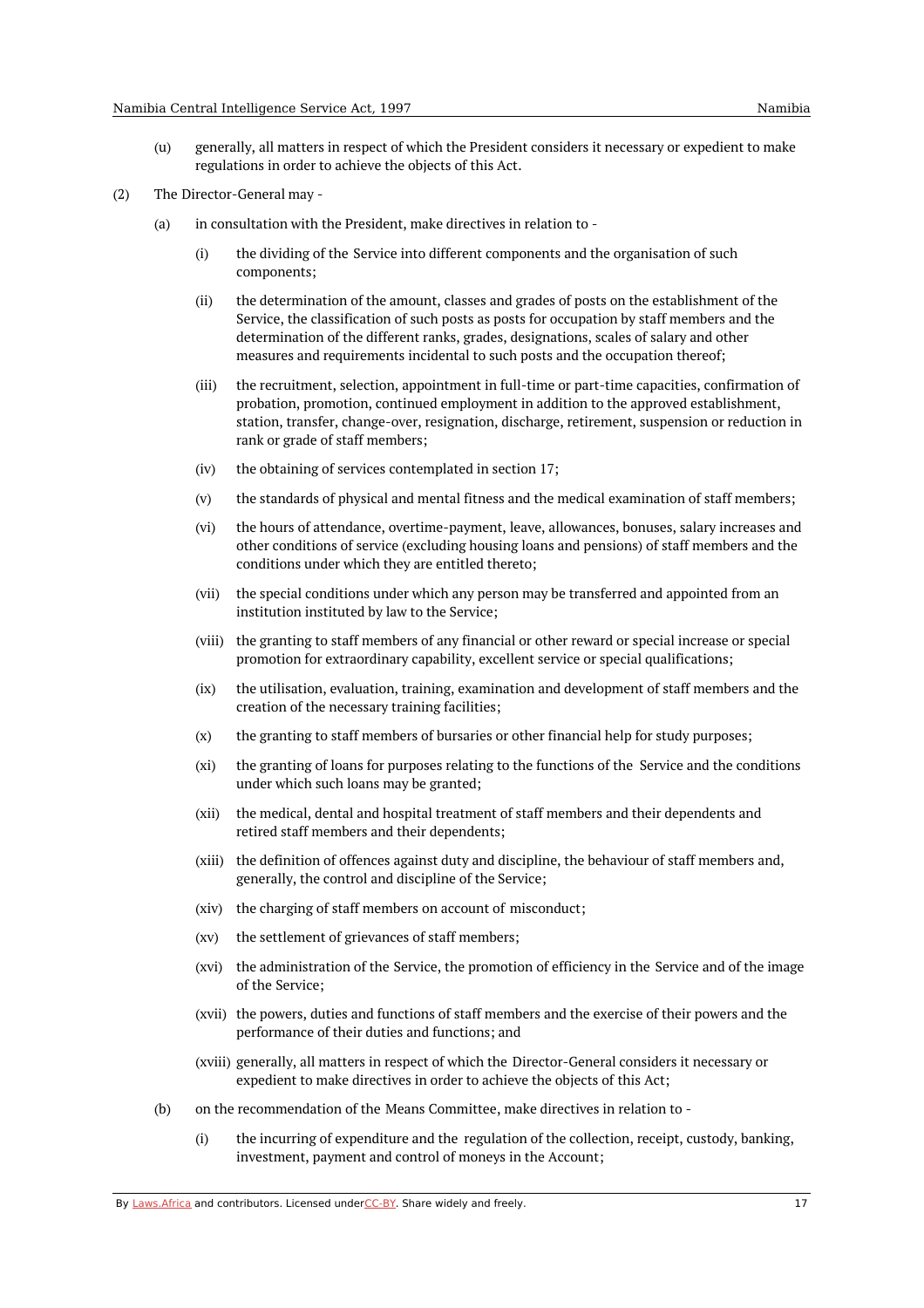(u) generally, all matters in respect of which the President considers it necessary or expedient to make regulations in order to achieve the objects of this Act.

- (a) in consultation with the President, make directives in relation to -
	- (i) the dividing of the Service into different components and the organisation of such components;
	- (ii) the determination of the amount, classes and grades of posts on the establishment of the Service, the classification of such posts as posts for occupation by staff members and the determination of the different ranks, grades, designations, scales of salary and other measures and requirements incidental to such posts and the occupation thereof;
	- (iii) the recruitment, selection, appointment in full-time or part-time capacities, confirmation of probation, promotion, continued employment in addition to the approved establishment, station, transfer, change-over, resignation, discharge, retirement, suspension or reduction in rank or grade of staff members;
	- (iv) the obtaining of services contemplated in section 17;
	- (v) the standards of physical and mental fitness and the medical examination of staff members;
	- (vi) the hours of attendance, overtime-payment, leave, allowances, bonuses, salary increases and other conditions of service (excluding housing loans and pensions) of staff members and the conditions under which they are entitled thereto;
	- (vii) the special conditions under which any person may be transferred and appointed from an institution instituted by law to the Service;
	- (viii) the granting to staff members of any financial or other reward or special increase or special promotion for extraordinary capability, excellent service or special qualifications;
	- $(ix)$ the utilisation, evaluation, training, examination and development of staff members and the creation of the necessary training facilities;
	- $(x)$ the granting to staff members of bursaries or other financial help for study purposes;
	- $(xi)$ the granting of loans for purposes relating to the functions of the Service and the conditions under which such loans may be granted;
	- (xii) the medical, dental and hospital treatment of staff members and their dependents and retired staff members and their dependents;
	- (xiii) the definition of offences against duty and discipline, the behaviour of staff members and, generally, the control and discipline of the Service;
	- (xiv) the charging of staff members on account of misconduct;
	- (xv) the settlement of grievances of staff members;
	- (xvi) the administration of the Service, the promotion of efficiency in the Service and of the image of the Service;
	- (xvii) the powers, duties and functions of staff members and the exercise of their powers and the performance of their duties and functions; and
	- (xviii) generally, all matters in respect of which the Director-General considers it necessary or expedient to make directives in order to achieve the objects of this Act;
- (b) on the recommendation of the Means Committee, make directives in relation to -
	- (i) the incurring of expenditure and the regulation of the collection, receipt, custody, banking, investment, payment and control of moneys in the Account;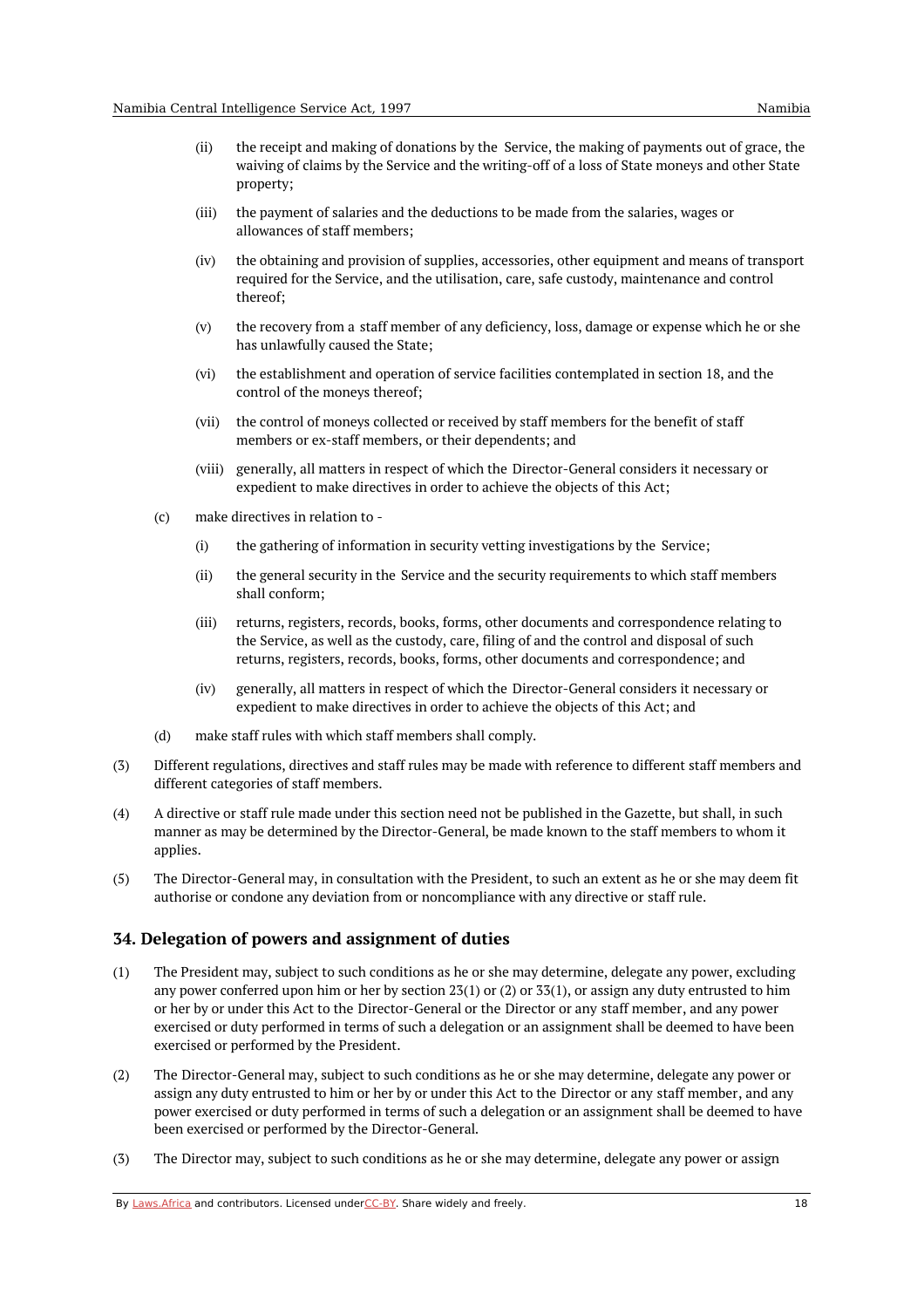- (ii) the receipt and making of donations by the Service, the making of payments out of grace, the waiving of claims by the Service and the writing-off of a loss of State moneys and other State property;
- (iii) the payment of salaries and the deductions to be made from the salaries, wages or allowances of staff members;
- (iv) the obtaining and provision of supplies, accessories, other equipment and means of transport required for the Service, and the utilisation, care, safe custody, maintenance and control thereof;
- (v) the recovery from a staff member of any deficiency, loss, damage or expense which he or she has unlawfully caused the State;
- (vi) the establishment and operation of service facilities contemplated in section 18, and the control of the moneys thereof;
- (vii) the control of moneys collected or received by staff members for the benefit of staff members or ex-staff members, or their dependents; and
- (viii) generally, all matters in respect of which the Director-General considers it necessary or expedient to make directives in order to achieve the objects of this Act;
- (c) make directives in relation to -
	- (i) the gathering of information in security vetting investigations by the Service;
	- (ii) the general security in the Service and the security requirements to which staff members shall conform;
	- (iii) returns, registers, records, books, forms, other documents and correspondence relating to the Service, as well as the custody, care, filing of and the control and disposal of such returns, registers, records, books, forms, other documents and correspondence; and
	- (iv) generally, all matters in respect of which the Director-General considers it necessary or expedient to make directives in order to achieve the objects of this Act; and
- (d) make staff rules with which staff members shall comply.
- (3) Different regulations, directives and staff rules may be made with reference to different staff members and different categories of staff members.
- $(4)$ A directive or staff rule made under this section need not be published in the Gazette, but shall, in such manner as may be determined by the Director-General, be made known to the staff members to whom it applies.
- (5) The Director-General may, in consultation with the President, to such an extent as he or she may deem fit authorise or condone any deviation from or noncompliance with any directive or staff rule.

#### <span id="page-17-0"></span>**34. Delegation of powers and assignment of duties**

- (1) The President may, subject to such conditions as he or she may determine, delegate any power, excluding any power conferred upon him or her by section 23(1) or (2) or 33(1), or assign any duty entrusted to him or her by or under this Act to the Director-General or the Director or any staff member, and any power exercised or duty performed in terms of such a delegation or an assignment shall be deemed to have been exercised or performed by the President.
- (2) The Director-General may, subject to such conditions as he or she may determine, delegate any power or assign any duty entrusted to him or her by or under this Act to the Director or any staff member, and any power exercised or duty performed in terms of such a delegation or an assignment shall be deemed to have been exercised or performed by the Director-General.
- (3) The Director may, subject to such conditions as he or she may determine, delegate any power or assign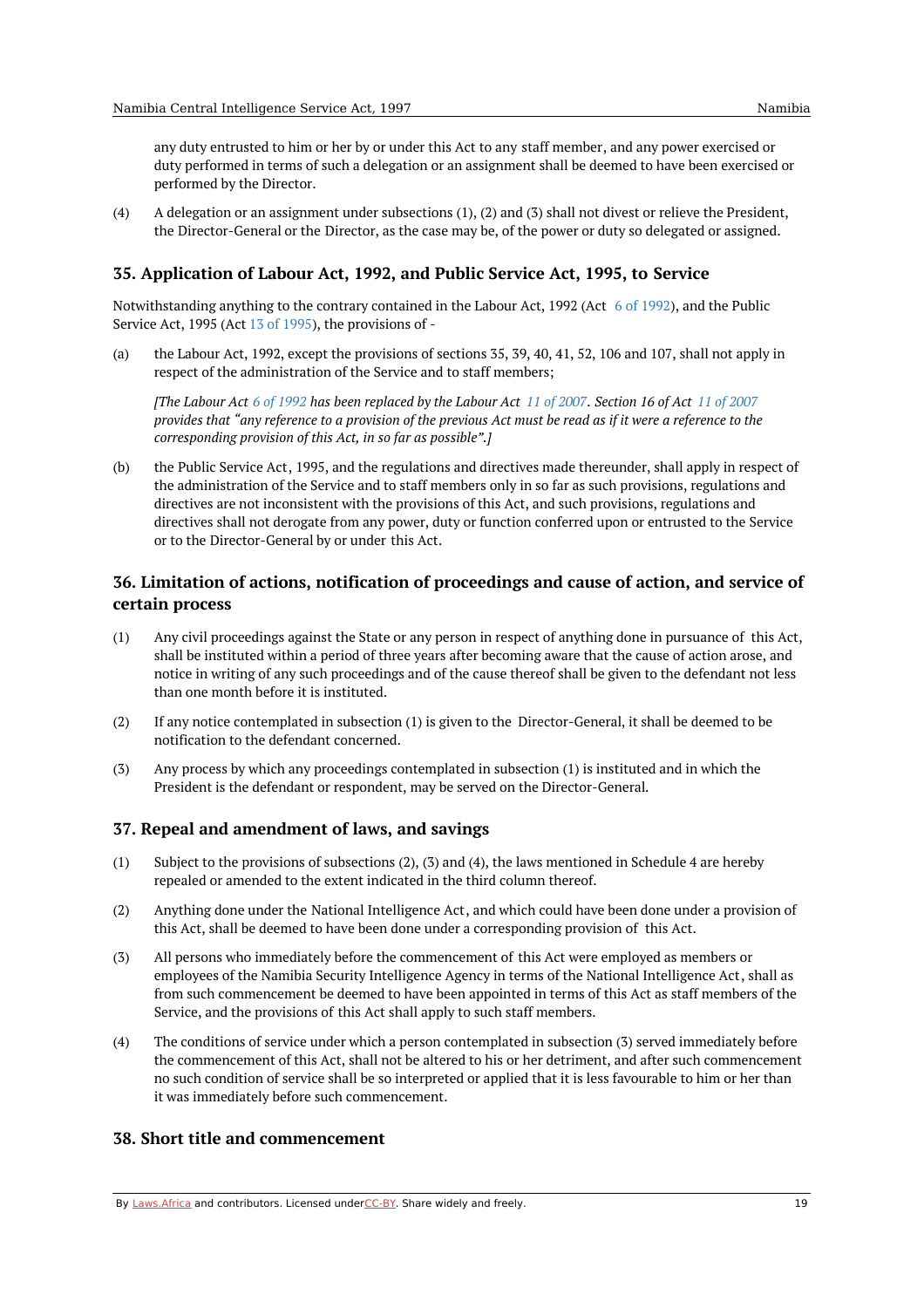any duty entrusted to him or her by or under this Act to any staff member, and any power exercised or duty performed in terms of such a delegation or an assignment shall be deemed to have been exercised or performed by the Director.

 $(4)$ A delegation or an assignment under subsections (1), (2) and (3) shall not divest or relieve the President, the Director-General or the Director, as the case may be, of the power or duty so delegated or assigned.

## <span id="page-18-0"></span>**35. Application of Labour Act, 1992, and Public Service Act, 1995, to Service**

Notwithstanding anything to the contrary contained in the Labour Act, 1992 (Act 6 of [1992](https://namiblii.org/akn/na/act/1992/6)), and the Public Service Act, 1995 (Act 13 of [1995](https://namiblii.org/akn/na/act/1995/13)), the provisions of -

 $(a)$ the Labour Act, 1992, except the provisions of sections 35, 39, 40, 41, 52, 106 and 107, shall not apply in respect of the administration of the Service and to staff members;

[The Labour Act 6 of [1992](https://namiblii.org/akn/na/act/1992/6) has been replaced by the Labour Act 11 of [2007](https://namiblii.org/akn/na/act/2007/11). Section 16 of Act 11 of 2007 provides that "any reference to a provision of the previous Act must be read as if it were a reference to the *corresponding provision of this Act, in so far as possible".]*

 $(h)$ the Public Service Act, 1995, and the regulations and directives made thereunder, shall apply in respect of the administration of the Service and to staff members only in so far as such provisions, regulations and directives are not inconsistent with the provisions of this Act, and such provisions, regulations and directives shall not derogate from any power, duty or function conferred upon or entrusted to the Service or to the Director-General by or under this Act.

# <span id="page-18-1"></span>**36. Limitation of actions, notification of proceedings and cause of action, and service of certain process**

- (1) Any civil proceedings against the State or any person in respect of anything done in pursuance of this Act, shall be instituted within a period of three years after becoming aware that the cause of action arose, and notice in writing of any such proceedings and of the cause thereof shall be given to the defendant not less than one month before it is instituted.
- (2) If any notice contemplated in subsection (1) is given to the Director-General, it shall be deemed to be notification to the defendant concerned.
- (3) Any process by which any proceedings contemplated in subsection (1) is instituted and in which the President is the defendant or respondent, may be served on the Director-General.

#### <span id="page-18-2"></span>**37. Repeal and amendment of laws, and savings**

- (1) Subject to the provisions of subsections (2), (3) and (4), the laws mentioned in Schedule 4 are hereby repealed or amended to the extent indicated in the third column thereof.
- (2) Anything done under the National Intelligence Act, and which could have been done under a provision of this Act, shall be deemed to have been done under a corresponding provision of this Act.
- (3) All persons who immediately before the commencement of this Act were employed as members or employees of the Namibia Security Intelligence Agency in terms of the National Intelligence Act, shall as from such commencement be deemed to have been appointed in terms of this Act as staff members of the Service, and the provisions of this Act shall apply to such staff members.
- (4) The conditions of service under which a person contemplated in subsection (3) served immediately before the commencement of this Act, shall not be altered to his or her detriment, and after such commencement no such condition of service shall be so interpreted or applied that it is less favourable to him or her than it was immediately before such commencement.

#### <span id="page-18-3"></span>**38. Short title and commencement**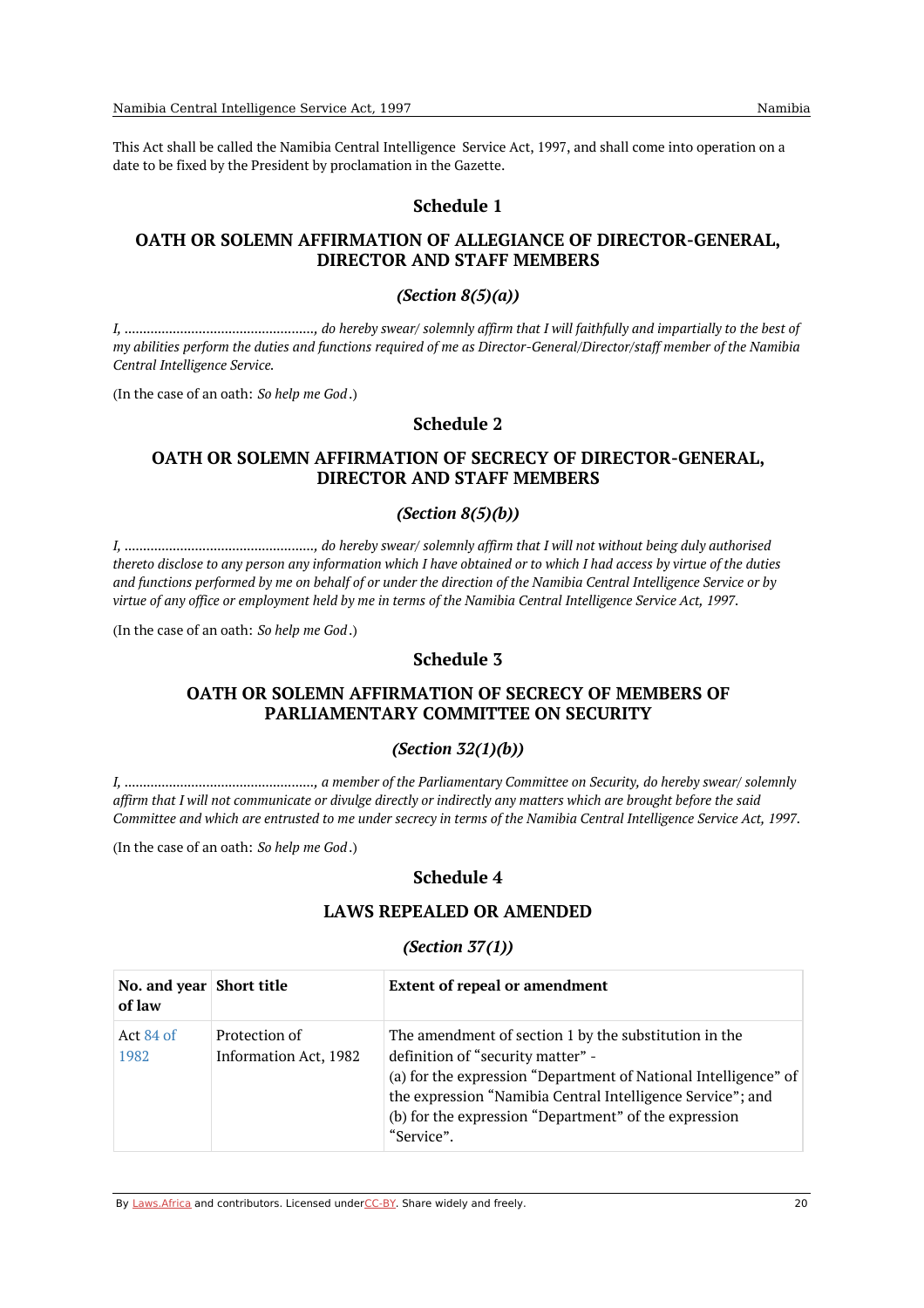This Act shall be called the Namibia Central Intelligence Service Act, 1997, and shall come into operation on a date to be fixed by the President by proclamation in the Gazette.

## **Schedule 1**

# <span id="page-19-1"></span><span id="page-19-0"></span>**OATH OR SOLEMN AFFIRMATION OF ALLEGIANCE OF DIRECTOR-GENERAL, DIRECTOR AND STAFF MEMBERS**

### *(Section 8(5)(a))*

<span id="page-19-2"></span>*I, ..................................................., do hereby swear/ solemnly affirm that I will faithfully and impartially to the best of* my abilities perform the duties and functions required of me as Director-General/Director/staff member of the Namibia *Central Intelligence Service.*

<span id="page-19-3"></span>(In the case of an oath: *So help me God*.)

## **Schedule 2**

## <span id="page-19-4"></span>**OATH OR SOLEMN AFFIRMATION OF SECRECY OF DIRECTOR-GENERAL, DIRECTOR AND STAFF MEMBERS**

#### *(Section 8(5)(b))*

<span id="page-19-5"></span>*I, ..................................................., do hereby swear/ solemnly affirm that I will not without being duly authorised* thereto disclose to any person any information which I have obtained or to which I had access by virtue of the duties and functions performed by me on behalf of or under the direction of the Namibia Central Intelligence Service or by virtue of any office or employment held by me in terms of the Namibia Central Intelligence Service Act, 1997.

<span id="page-19-7"></span><span id="page-19-6"></span>(In the case of an oath: *So help me God*.)

## **Schedule 3**

## **OATH OR SOLEMN AFFIRMATION OF SECRECY OF MEMBERS OF PARLIAMENTARY COMMITTEE ON SECURITY**

#### *(Section 32(1)(b))*

<span id="page-19-8"></span>*I, ..................................................., a member of the Parliamentary Committee on Security, do hereby swear/ solemnly* affirm that I will not communicate or divulge directly or indirectly any matters which are brought before the said Committee and which are entrusted to me under secrecy in terms of the Namibia Central Intelligence Service Act, 1997.

<span id="page-19-10"></span><span id="page-19-9"></span>(In the case of an oath: *So help me God*.)

# **Schedule 4**

## **LAWS REPEALED OR AMENDED**

## *(Section 37(1))*

<span id="page-19-11"></span>

| No. and year Short title<br>of law |                                        | <b>Extent of repeal or amendment</b>                                                                                                                                                                                                                                                               |
|------------------------------------|----------------------------------------|----------------------------------------------------------------------------------------------------------------------------------------------------------------------------------------------------------------------------------------------------------------------------------------------------|
| Act $84$ of<br>1982                | Protection of<br>Information Act, 1982 | The amendment of section 1 by the substitution in the<br>definition of "security matter" -<br>(a) for the expression "Department of National Intelligence" of<br>the expression "Namibia Central Intelligence Service"; and<br>(b) for the expression "Department" of the expression<br>"Service". |